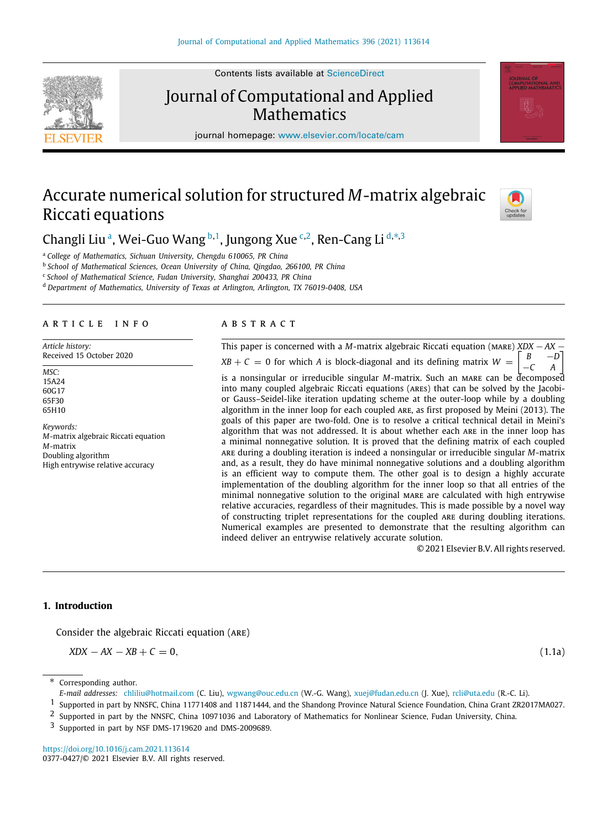Contents lists available at [ScienceDirect](http://www.elsevier.com/locate/cam)

# Journal of Computational and Applied **Mathematics**

journal homepage: [www.elsevier.com/locate/cam](http://www.elsevier.com/locate/cam)

# Accurate numerical solution for structured *M*-matrix algebraic Riccati equations



<span id="page-0-0"></span><sup>a</sup> *College of Mathematics, Sichuan University, Chengdu 610065, PR China*

<span id="page-0-1"></span>b *School of Mathematical Sciences, Ocean University of China, Qingdao, 266100, PR China*

<span id="page-0-3"></span>c *School of Mathematical Science, Fudan University, Shanghai 200433, PR China*

<span id="page-0-5"></span><sup>d</sup> *Department of Mathematics, University of Texas at Arlington, Arlington, TX 76019-0408, USA*

#### a r t i c l e i n f o

*Article history:* Received 15 October 2020

*MSC:* 15A24 60G17 65F30 65H10

*Keywords: M*-matrix algebraic Riccati equation *M*-matrix Doubling algorithm High entrywise relative accuracy

#### A B S T R A C T

This paper is concerned with a *M*-matrix algebraic Riccati equation (mare) *XDX* − *AX* −  $XB + C = 0$  for which *A* is block-diagonal and its defining matrix  $W =$  $\lceil$  $B \quad -D$ <sup>−</sup>*C A* ] is a nonsingular or irreducible singular *M*-matrix. Such an mare can be decomposed into many coupled algebraic Riccati equations (ares) that can be solved by the Jacobior Gauss–Seidel-like iteration updating scheme at the outer-loop while by a doubling algorithm in the inner loop for each coupled are, as first proposed by Meini (2013). The goals of this paper are two-fold. One is to resolve a critical technical detail in Meini's algorithm that was not addressed. It is about whether each are in the inner loop has a minimal nonnegative solution. It is proved that the defining matrix of each coupled are during a doubling iteration is indeed a nonsingular or irreducible singular *M*-matrix and, as a result, they do have minimal nonnegative solutions and a doubling algorithm is an efficient way to compute them. The other goal is to design a highly accurate implementation of the doubling algorithm for the inner loop so that all entries of the minimal nonnegative solution to the original mare are calculated with high entrywise relative accuracies, regardless of their magnitudes. This is made possible by a novel way of constructing triplet representations for the coupled are during doubling iterations. Numerical examples are presented to demonstrate that the resulting algorithm can indeed deliver an entrywise relatively accurate solution.

<span id="page-0-9"></span>© 2021 Elsevier B.V. All rights reserved.

# **1. Introduction**

Consider the algebraic Riccati equation (are)

$$
XDX - AX - XB + C = 0,\tag{1.1a}
$$

<span id="page-0-8"></span>

<span id="page-0-6"></span>Corresponding author.

<span id="page-0-2"></span>1 Supported in part by NNSFC, China 11771408 and 11871444, and the Shandong Province Natural Science Foundation, China Grant ZR2017MA027.

<https://doi.org/10.1016/j.cam.2021.113614> 0377-0427/© 2021 Elsevier B.V. All rights reserved.





*E-mail addresses:* [chliliu@hotmail.com](mailto:chliliu@hotmail.com) (C. Liu), [wgwang@ouc.edu.cn](mailto:wgwang@ouc.edu.cn) (W.-G. Wang), [xuej@fudan.edu.cn](mailto:xuej@fudan.edu.cn) (J. Xue), [rcli@uta.edu](mailto:rcli@uta.edu) (R.-C. Li).

<span id="page-0-4"></span><sup>2</sup> Supported in part by the NNSFC, China 10971036 and Laboratory of Mathematics for Nonlinear Science, Fudan University, China.

<span id="page-0-7"></span><sup>3</sup> Supported in part by NSF DMS-1719620 and DMS-2009689.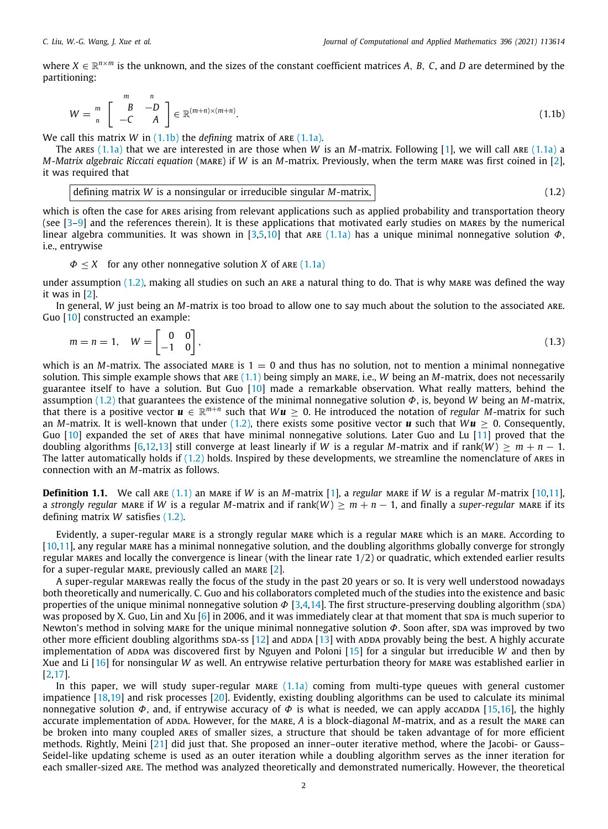where  $X \in \mathbb{R}^{n \times m}$  is the unknown, and the sizes of the constant coefficient matrices A, B, C, and D are determined by the partitioning:

<span id="page-1-0"></span>
$$
W = \begin{bmatrix} m & n \\ n & -C & A \end{bmatrix} \in \mathbb{R}^{(m+n)\times(m+n)}.
$$
 (1.1b)

We call this matrix *W* in ([1.1b](#page-1-0)) the *defining* matrix of ARE [\(1.1a](#page-0-8)).

The ARES  $(1.1a)$  $(1.1a)$  that we are interested in are those when *W* is an *M*-matrix. Following [\[1](#page-15-0)], we will call ARE  $(1.1a)$  $(1.1a)$  $(1.1a)$  a *M*-*Matrix algebraic Riccati equation* (mare) if *W* is an *M*-matrix. Previously, when the term mare was first coined in [\[2\]](#page-15-1), it was required that

<span id="page-1-1"></span>defining matrix 
$$
W
$$
 is a nonsingular or irreducible singular  $M$ -matrix, (1.2)

which is often the case for ares arising from relevant applications such as applied probability and transportation theory (see  $[3-9]$  $[3-9]$  $[3-9]$  and the references therein). It is these applications that motivated early studies on MARES by the numerical linear algebra communities. It was shown in [\[3,](#page-15-2)[5,](#page-15-4)[10](#page-15-5)] that are [\(1.1a\)](#page-0-8) has a unique minimal nonnegative solution  $\Phi$ , i.e., entrywise

 $\Phi \leq X$  for any other nonnegative solution *X* of ARE [\(1.1a\)](#page-0-8)

under assumption  $(1.2)$ , making all studies on such an ARE a natural thing to do. That is why MARE was defined the way it was in [[2\]](#page-15-1).

In general, *W* just being an *M*-matrix is too broad to allow one to say much about the solution to the associated are. Guo [[10](#page-15-5)] constructed an example:

<span id="page-1-2"></span>
$$
m = n = 1, \quad W = \begin{bmatrix} 0 & 0 \\ -1 & 0 \end{bmatrix}, \tag{1.3}
$$

which is an *M*-matrix. The associated mare is  $1 = 0$  and thus has no solution, not to mention a minimal nonnegative solution. This simple example shows that are [\(1.1\)](#page-0-8) being simply an mare, i.e., *W* being an *M*-matrix, does not necessarily guarantee itself to have a solution. But Guo [[10\]](#page-15-5) made a remarkable observation. What really matters, behind the assumption ([1.2](#page-1-1)) that guarantees the existence of the minimal nonnegative solution Φ, is, beyond *W* being an *M*-matrix, that there is a positive vector  $u \in \mathbb{R}^{m+n}$  such that  $Wu \geq 0$ . He introduced the notation of *regular M*-matrix for such an *M*-matrix. It is well-known that under ([1.2](#page-1-1)), there exists some positive vector *u* such that  $Wu \ge 0$ . Consequently, Guo [[10](#page-15-5)] expanded the set of ares that have minimal nonnegative solutions. Later Guo and Lu [\[11\]](#page-15-6) proved that the doubling algorithms [\[6](#page-15-7)[,12,](#page-15-8)[13](#page-15-9)] still converge at least linearly if *W* is a regular *M*-matrix and if rank(*W*)  $\geq m + n - 1$ . The latter automatically holds if [\(1.2\)](#page-1-1) holds. Inspired by these developments, we streamline the nomenclature of ares in connection with an *M*-matrix as follows.

<span id="page-1-3"></span>**Definition [1](#page-15-0).1.** We call ARE  $(1.1)$  an MARE if *W* is an *M*-matrix  $[1]$ , a *regular* MARE if *W* is a regular *M*-matrix  $[10,11]$  $[10,11]$  $[10,11]$ , a *strongly regular* MARE if *W* is a regular *M*-matrix and if rank(*W*) >  $m + n - 1$ , and finally a *super-regular* MARE if its defining matrix *W* satisfies [\(1.2\)](#page-1-1).

Evidently, a super-regular MARE is a strongly regular MARE which is a regular MARE which is an MARE. According to [\[10,](#page-15-5)[11](#page-15-6)], any regular mare has a minimal nonnegative solution, and the doubling algorithms globally converge for strongly regular MARES and locally the convergence is linear (with the linear rate  $1/2$ ) or quadratic, which extended earlier results for a super-regular MARE, previously called an MARE  $[2]$ .

A super-regular marewas really the focus of the study in the past 20 years or so. It is very well understood nowadays both theoretically and numerically. C. Guo and his collaborators completed much of the studies into the existence and basic properties of the unique minimal nonnegative solution  $\Phi$  [\[3](#page-15-2),[4,](#page-15-10)[14](#page-15-11)]. The first structure-preserving doubling algorithm (SDA) was proposed by X. Guo, Lin and Xu [\[6](#page-15-7)] in 2006, and it was immediately clear at that moment that spa is much superior to Newton's method in solving mare for the unique minimal nonnegative solution  $\Phi$ . Soon after, spa was improved by two other more efficient doubling algorithms  $SDA-SS$  [[12](#page-15-8)] and  $ADDA$  [[13](#page-15-9)] with ADDA provably being the best. A highly accurate implementation of ADDA was discovered first by Nguyen and Poloni [\[15](#page-15-12)] for a singular but irreducible *W* and then by Xue and Li [\[16\]](#page-15-13) for nonsingular *W* as well. An entrywise relative perturbation theory for mare was established earlier in [\[2](#page-15-1)[,17\]](#page-15-14).

In this paper, we will study super-regular MARE  $(1.1a)$  $(1.1a)$  coming from multi-type queues with general customer impatience [\[18,](#page-15-15)[19](#page-15-16)] and risk processes [\[20](#page-15-17)]. Evidently, existing doubling algorithms can be used to calculate its minimal nonnegative solution  $\Phi$ , and, if entrywise accuracy of  $\Phi$  is what is needed, we can apply accappa [\[15,](#page-15-12)[16](#page-15-13)], the highly accurate implementation of ADDA. However, for the MARE, A is a block-diagonal M-matrix, and as a result the MARE can be broken into many coupled ares of smaller sizes, a structure that should be taken advantage of for more efficient methods. Rightly, Meini [[21](#page-15-18)] did just that. She proposed an inner–outer iterative method, where the Jacobi- or Gauss– Seidel-like updating scheme is used as an outer iteration while a doubling algorithm serves as the inner iteration for each smaller-sized are. The method was analyzed theoretically and demonstrated numerically. However, the theoretical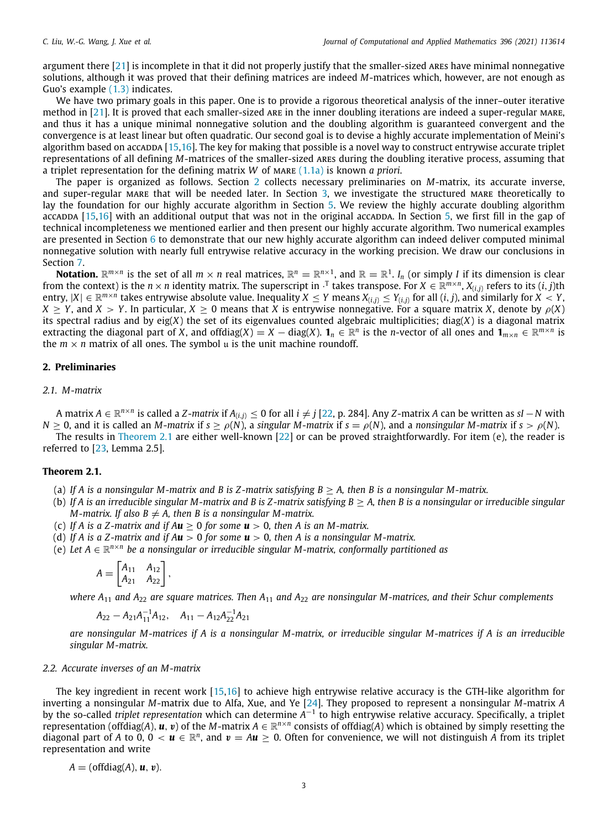argument there [\[21\]](#page-15-18) is incomplete in that it did not properly justify that the smaller-sized ares have minimal nonnegative solutions, although it was proved that their defining matrices are indeed *M*-matrices which, however, are not enough as Guo's example ([1.3](#page-1-2)) indicates.

We have two primary goals in this paper. One is to provide a rigorous theoretical analysis of the inner–outer iterative method in [[21](#page-15-18)]. It is proved that each smaller-sized are in the inner doubling iterations are indeed a super-regular mare, and thus it has a unique minimal nonnegative solution and the doubling algorithm is guaranteed convergent and the convergence is at least linear but often quadratic. Our second goal is to devise a highly accurate implementation of Meini's algorithm based on accadda  $[15,16]$  $[15,16]$  $[15,16]$ . The key for making that possible is a novel way to construct entrywise accurate triplet representations of all defining *M*-matrices of the smaller-sized ares during the doubling iterative process, assuming that a triplet representation for the defining matrix *W* of mare ([1.1a\)](#page-0-8) is known *a priori*.

The paper is organized as follows. Section [2](#page-2-0) collects necessary preliminaries on *M*-matrix, its accurate inverse, and super-regular mare that will be needed later. In Section [3](#page-3-0), we investigate the structured mare theoretically to lay the foundation for our highly accurate algorithm in Section [5.](#page-9-0) We review the highly accurate doubling algorithm accadda [\[15,](#page-15-12)[16](#page-15-13)] with an additional output that was not in the original accadda. In Section [5](#page-9-0), we first fill in the gap of technical incompleteness we mentioned earlier and then present our highly accurate algorithm. Two numerical examples are presented in Section  $6$  to demonstrate that our new highly accurate algorithm can indeed deliver computed minimal nonnegative solution with nearly full entrywise relative accuracy in the working precision. We draw our conclusions in Section [7.](#page-14-0)

**Notation.**  $\mathbb{R}^{m\times n}$  is the set of all  $m\times n$  real matrices,  $\mathbb{R}^n=\mathbb{R}^{n\times 1}$ , and  $\mathbb{R}=\mathbb{R}^1$ .  $I_n$  (or simply *I* if its dimension is clear from the context) is the  $n\times n$  identity matrix. The superscript in  $\cdot^\text{T}$  takes transpose. For  $X\in\mathbb{R}^{m\times n}$ ,  $X_{(i,j)}$  refers to its  $(i,j)$ th entry,  $|X|\in\R^{m\times n}$  takes entrywise absolute value. Inequality  $X\leq Y$  means  $X_{(i,j)}\leq Y_{(i,j)}$  for all  $(i,j)$ , and similarly for  $X< Y$ ,  $X > Y$ , and  $X > Y$ . In particular,  $X > 0$  means that *X* is entrywise nonnegative. For a square matrix *X*, denote by  $\rho(X)$ its spectral radius and by eig(*X*) the set of its eigenvalues counted algebraic multiplicities; diag(*X*) is a diagonal matrix extracting the diagonal part of *X*, and offdiag(*X*) = *X* – diag(*X*).  $\mathbf{1}_n \in \mathbb{R}^n$  is the *n*-vector of all ones and  $\mathbf{1}_{m \times n} \in \mathbb{R}^{m \times n}$  is the  $m \times n$  matrix of all ones. The symbol u is the unit machine roundoff.

#### **2. Preliminaries**

## <span id="page-2-0"></span>*2.1. M-matrix*

A matrix *A* ∈ R *n*×*n* is called a *Z*-*matrix* if *A*(*i*,*j*) ≤ 0 for all *i* ̸= *j* [[22](#page-15-19), p. 284]. Any *Z*-matrix *A* can be written as *sI* −*N* with  $N > 0$ , and it is called an *M-matrix* if  $s > \rho(N)$ , a *singular M-matrix* if  $s = \rho(N)$ , and a *nonsingular M-matrix* if  $s > \rho(N)$ .

The results in [Theorem](#page-2-1) [2.1](#page-2-1) are either well-known [[22\]](#page-15-19) or can be proved straightforwardly. For item (e), the reader is referred to [[23](#page-15-20), Lemma 2.5].

#### <span id="page-2-1"></span>**Theorem 2.1.**

- (a) If A is a nonsingular M-matrix and B is Z-matrix satisfying  $B \geq A$ , then B is a nonsingular M-matrix.
- (b) *If A is an irreducible singular M-matrix and B is Z -matrix satisfying B* ≥ *A, then B is a nonsingular or irreducible singular M*-matrix. If also  $B \neq A$ , then B is a nonsingular M-matrix.
- (c) If A is a Z-matrix and if  $Au > 0$  for some  $u > 0$ , then A is an M-matrix.
- (d) *If A is a Z -matrix and if Au* > 0 *for some u* > 0*, then A is a nonsingular M-matrix.*
- (e) *Let A* ∈ R *n*×*n be a nonsingular or irreducible singular M-matrix, conformally partitioned as*

$$
A = \begin{bmatrix} A_{11} & A_{12} \\ A_{21} & A_{22} \end{bmatrix},
$$

*where A*<sup>11</sup> *and A*<sup>22</sup> *are square matrices. Then A*<sup>11</sup> *and A*<sup>22</sup> *are nonsingular M-matrices, and their Schur complements*

$$
A_{22}-A_{21}A_{11}^{-1}A_{12}, \quad A_{11}-A_{12}A_{22}^{-1}A_{21}
$$

*are nonsingular M-matrices if A is a nonsingular M-matrix, or irreducible singular M-matrices if A is an irreducible singular M-matrix.*

#### *2.2. Accurate inverses of an M-matrix*

The key ingredient in recent work [\[15,](#page-15-12)[16](#page-15-13)] to achieve high entrywise relative accuracy is the GTH-like algorithm for inverting a nonsingular *M*-matrix due to Alfa, Xue, and Ye [[24\]](#page-15-21). They proposed to represent a nonsingular *M*-matrix *A* by the so-called *triplet representation* which can determine *A*<sup>−1</sup> to high entrywise relative accuracy. Specifically, a triplet representation (off $d$ iag(A),  $u$ ,  $v$ ) of the M-matrix  $A\in\mathbb{R}^{n\times n}$  consists of offdiag(A) which is obtained by simply resetting the diagonal part of A to 0, 0  $< u \in \mathbb{R}^n$ , and  $v = Au \ge 0$ . Often for convenience, we will not distinguish A from its triplet representation and write

$$
A = (offdiag(A), u, v).
$$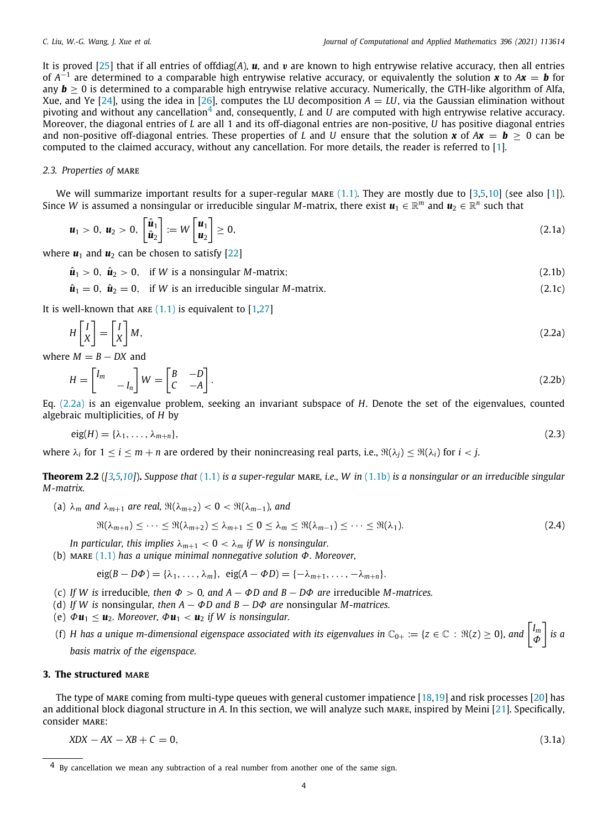<span id="page-3-1"></span>It is proved [[25\]](#page-15-22) that if all entries of offdiag(*A*), *u*, and v are known to high entrywise relative accuracy, then all entries of *A* −1 are determined to a comparable high entrywise relative accuracy, or equivalently the solution *x* to *Ax* = *b* for any  $>$  **0 is determined to a comparable high entrywise relative accuracy. Numerically, the GTH-like algorithm of Alfa,** Xue, and Ye [[24\]](#page-15-21), using the idea in [\[26\]](#page-15-23), computes the LU decomposition  $A = LU$ , via the Gaussian elimination without pivoting and without any cancellation<sup>[4](#page-3-1)</sup> and, consequently,  $L$  and  $U$  are computed with high entrywise relative accuracy. Moreover, the diagonal entries of *L* are all 1 and its off-diagonal entries are non-positive, *U* has positive diagonal entries and non-positive off-diagonal entries. These properties of *L* and *U* ensure that the solution *x* of  $Ax = b > 0$  can be computed to the claimed accuracy, without any cancellation. For more details, the reader is referred to [\[1](#page-15-0)].

### *2.3. Properties of* mare

We will summarize important results for a super-regular MARE  $(1.1)$ . They are mostly due to  $[3,5,10]$  $[3,5,10]$  $[3,5,10]$  $[3,5,10]$  $[3,5,10]$  (see also  $[1]$ ). Since W is assumed a nonsingular or irreducible singular M-matrix, there exist  $u_1\in\R^m$  and  $u_2\in\R^n$  such that

<span id="page-3-5"></span>
$$
\boldsymbol{u}_1 > 0, \ \boldsymbol{u}_2 > 0, \ \begin{bmatrix} \hat{\boldsymbol{u}}_1 \\ \hat{\boldsymbol{u}}_2 \end{bmatrix} := W \begin{bmatrix} \boldsymbol{u}_1 \\ \boldsymbol{u}_2 \end{bmatrix} \geq 0, \tag{2.1a}
$$

where  $\mathbf{u}_1$  and  $\mathbf{u}_2$  can be chosen to satisfy [\[22\]](#page-15-19)

$$
\hat{\mathbf{u}}_1 > 0, \ \hat{\mathbf{u}}_2 > 0, \quad \text{if } W \text{ is a nonsingular } M\text{-matrix};
$$
\n(2.1b)

 $\hat{u}_1 = 0$ ,  $\hat{u}_2 = 0$ , if *W* is an irreducible singular *M*-matrix. (2.1c)

It is well-known that ARE  $(1.1)$  is equivalent to [\[1](#page-15-0).27]

<span id="page-3-2"></span>
$$
H\begin{bmatrix} I \\ X \end{bmatrix} = \begin{bmatrix} I \\ X \end{bmatrix} M,\tag{2.2a}
$$

where  $M = B - DX$  and

$$
H = \begin{bmatrix} I_m & & \\ & -I_n \end{bmatrix} W = \begin{bmatrix} B & -D \\ C & -A \end{bmatrix} . \tag{2.2b}
$$

Eq. ([2.2a\)](#page-3-2) is an eigenvalue problem, seeking an invariant subspace of *H*. Denote the set of the eigenvalues, counted algebraic multiplicities, of *H* by

$$
eig(H) = {\lambda_1, \ldots, \lambda_{m+n}}, \tag{2.3}
$$

<span id="page-3-4"></span>where  $\lambda_i$  for  $1 \le i \le m+n$  are ordered by their nonincreasing real parts, i.e.,  $\Re(\lambda_j) \le \Re(\lambda_i)$  for  $i < j$ .

**Theorem 2.2** (*[[3](#page-15-2)[,5,](#page-15-4)[10](#page-15-5)]*)**.** *Suppose that* [\(1.1\)](#page-0-8) *is a super-regular* mare*, i.e., W in* ([1.1b](#page-1-0)) *is a nonsingular or an irreducible singular M-matrix.*

(a)  $\lambda_m$  *and*  $\lambda_{m+1}$  *are real,*  $\Re(\lambda_{m+2}) < 0 < \Re(\lambda_{m-1})$ *, and* 

$$
\Re(\lambda_{m+n}) \leq \cdots \leq \Re(\lambda_{m+2}) \leq \lambda_{m+1} \leq 0 \leq \lambda_m \leq \Re(\lambda_{m-1}) \leq \cdots \leq \Re(\lambda_1). \tag{2.4}
$$

*In particular, this implies*  $\lambda_{m+1} < 0 < \lambda_m$  *if W is nonsingular.* 

(b) mare ([1.1](#page-0-8)) *has a unique minimal nonnegative solution* Φ*. Moreover,*

<span id="page-3-3"></span>
$$
eig(B-D\Phi)=\{\lambda_1,\ldots,\lambda_m\},\ \ eig(A-\Phi D)=\{-\lambda_{m+1},\ldots,-\lambda_{m+n}\}.
$$

- (c) *If W is* irreducible*, then* Φ > 0*, and A* − Φ*D and B* − *D*Φ *are* irreducible *M-matrices.*
- (d) *If W is* nonsingular*, then A* − Φ*D and B* − *D*Φ *are* nonsingular *M-matrices.*
- (e)  $\Phi \mathbf{u}_1 \leq \mathbf{u}_2$ . Moreover,  $\Phi \mathbf{u}_1 < \mathbf{u}_2$  *if W is nonsingular.*
- (f) *H* has a unique m-dimensional eigenspace associated with its eigenvalues in  $\mathbb{C}_{0+} := \{z \in \mathbb{C} : \Re(z) \ge 0\}$ , and  $\begin{bmatrix} I_m \\ \Phi \end{bmatrix}$ Φ ] *is a basis matrix of the eigenspace.*

#### **3. The structured mare**

<span id="page-3-0"></span>The type of mare coming from multi-type queues with general customer impatience [\[18,](#page-15-15)[19](#page-15-16)] and risk processes [\[20\]](#page-15-17) has an additional block diagonal structure in *A*. In this section, we will analyze such mare, inspired by Meini [[21](#page-15-18)]. Specifically, consider MARE:

<span id="page-3-6"></span>
$$
XDX - AX - XB + C = 0,\tag{3.1a}
$$

<sup>&</sup>lt;sup>4</sup> By cancellation we mean any subtraction of a real number from another one of the same sign.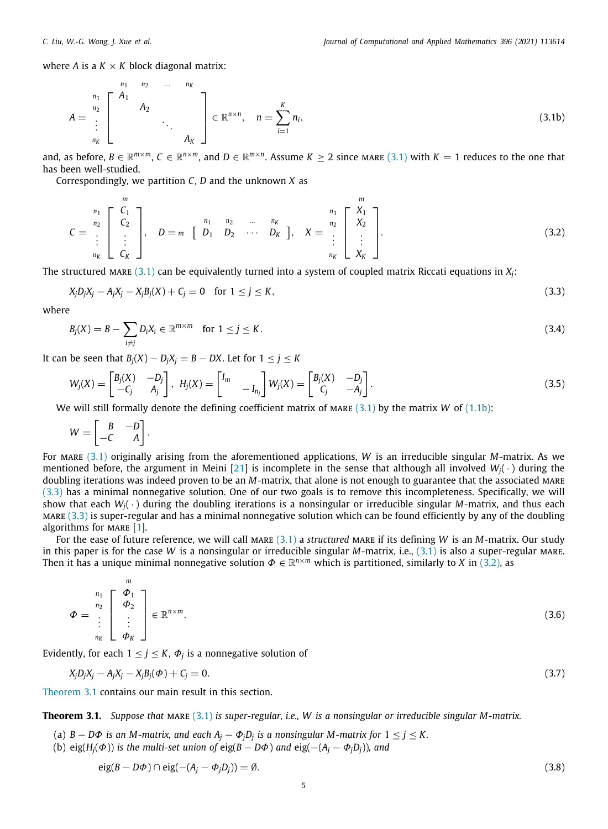where *A* is a  $K \times K$  block diagonal matrix:

$$
A = \begin{bmatrix} n_1 & n_2 & \cdots & n_K \\ n_2 & & & \\ \vdots & & & \ddots \\ n_K & & & & A_K \end{bmatrix} \in \mathbb{R}^{n \times n}, \quad n = \sum_{i=1}^K n_i,
$$
 (3.1b)

and, as before,  $B \in \mathbb{R}^{m \times m}$ ,  $C \in \mathbb{R}^{n \times m}$ , and  $D \in \mathbb{R}^{m \times n}$ . Assume  $K \geq 2$  since mare  $(3.1)$  with  $K = 1$  reduces to the one that has been well-studied.

Correspondingly, we partition *C*, *D* and the unknown *X* as

$$
C = \begin{bmatrix} n_1 \\ n_2 \\ \vdots \\ n_K \end{bmatrix}, \quad D = m \quad \begin{bmatrix} n_1 & n_2 & \dots & n_K \\ D_1 & D_2 & \dots & D_K \end{bmatrix}, \quad X = \begin{bmatrix} m_1 \\ x_2 \\ \vdots \\ x_K \end{bmatrix}.
$$
 (3.2)

The structured MARE  $(3.1)$  $(3.1)$  $(3.1)$  can be equivalently turned into a system of coupled matrix Riccati equations in  $X_i$ :

$$
X_j D_j X_j - A_j X_j - X_j B_j (X) + C_j = 0 \quad \text{for } 1 \le j \le K,
$$
\n(3.3)

where

$$
B_j(X) = B - \sum_{i \neq j} D_i X_i \in \mathbb{R}^{m \times m} \quad \text{for } 1 \leq j \leq K. \tag{3.4}
$$

*It* can be seen that  $B_i(X) - D_iX_i = B - DX$ . Let for 1 ≤ *j* ≤ *K* 

$$
W_j(X) = \begin{bmatrix} B_j(X) & -D_j \ -C_j & A_j \end{bmatrix}, H_j(X) = \begin{bmatrix} I_m & & \\ & -I_{n_j} \end{bmatrix} W_j(X) = \begin{bmatrix} B_j(X) & -D_j \ C_j & -A_j \end{bmatrix}.
$$
\n(3.5)

We will still formally denote the defining coefficient matrix of MARE  $(3.1)$  $(3.1)$  $(3.1)$  by the matrix *W* of  $(1.1b)$  $(1.1b)$  $(1.1b)$ :

$$
W = \begin{bmatrix} B & -D \\ -C & A \end{bmatrix}.
$$

For mare [\(3.1\)](#page-3-3) originally arising from the aforementioned applications, *W* is an irreducible singular *M*-matrix. As we mentioned before, the argument in Meini [[21](#page-15-18)] is incomplete in the sense that although all involved *Wj*( · ) during the doubling iterations was indeed proven to be an *M*-matrix, that alone is not enough to guarantee that the associated mare [\(3.3\)](#page-4-0) has a minimal nonnegative solution. One of our two goals is to remove this incompleteness. Specifically, we will show that each *Wj*( · ) during the doubling iterations is a nonsingular or irreducible singular *M*-matrix, and thus each  $MARE$  [\(3.3\)](#page-4-0) is super-regular and has a minimal nonnegative solution which can be found efficiently by any of the doubling algorithms for MARE [\[1\]](#page-15-0).

For the ease of future reference, we will call MARE ([3.1](#page-3-3)) a *structured* MARE if its defining *W* is an *M*-matrix. Our study in this paper is for the case *W* is a nonsingular or irreducible singular *M*-matrix, i.e., [\(3.1\)](#page-3-3) is also a super-regular mare. Then it has a unique minimal nonnegative solution  $\Phi \in \mathbb{R}^{n \times m}$  which is partitioned, similarly to *X* in [\(3.2\)](#page-4-1), as

$$
\Phi = \begin{bmatrix} n_1 \\ n_2 \\ \vdots \\ n_K \end{bmatrix} \in \mathbb{R}^{n \times m}.
$$
\n(3.6)

Evidently, for each  $1 \leq j \leq K$ ,  $\Phi_j$  is a nonnegative solution of

$$
X_j D_j X_j - A_j X_j - X_j B_j(\Phi) + C_j = 0.
$$
\n(3.7)

<span id="page-4-2"></span>[Theorem](#page-4-2) [3.1](#page-4-2) contains our main result in this section.

**Theorem 3.1.** *Suppose that* mare ([3.1](#page-3-3)) *is super-regular, i.e., W is a nonsingular or irreducible singular M-matrix.*

- (a)  $B D\Phi$  *is an M-matrix, and each*  $A_j \Phi_j D_j$  *is a nonsingular M-matrix for*  $1 \leq j \leq K$ *.*
- (b) eig( $H$ <sup>*j*</sup>( $\Phi$ )) *is the multi-set union of* eig(*B* − *D* $\Phi$ ) *and* eig( $-(A$ <sup>*j*</sup> −  $\Phi$ <sub>*j</sub>Dj*))*, and*</sub>

$$
eig(B - D\Phi) \cap eig(- (A_j - \Phi_j D_j)) = \emptyset.
$$
\n(3.8)

<span id="page-4-5"></span><span id="page-4-4"></span><span id="page-4-3"></span><span id="page-4-1"></span><span id="page-4-0"></span>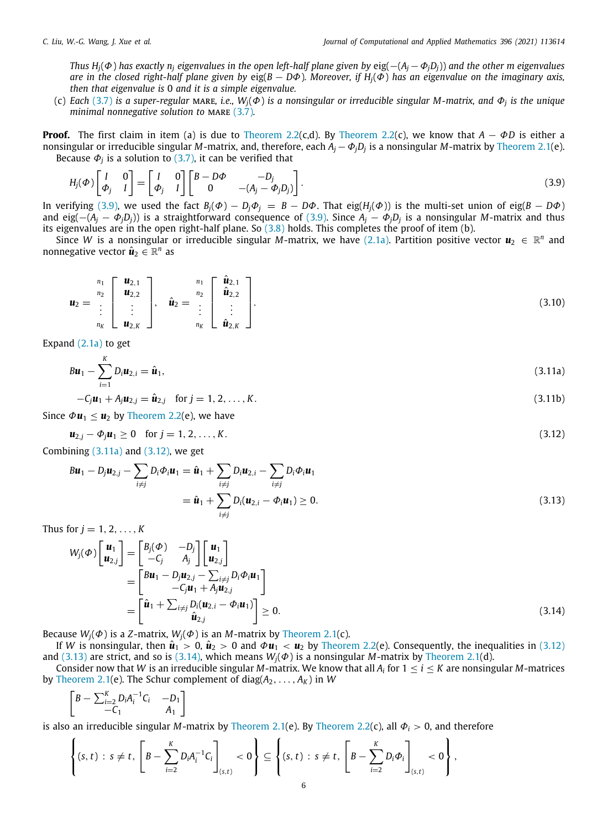*Thus*  $H_i(\Phi)$  *has exactly*  $n_i$  *eigenvalues in the open left-half plane given by* eig( $-(A_j - \Phi_j D_j)$ ) *and the other m eigenvalues are in the closed right-half plane given by* eig(*B* − *D*Φ)*. Moreover, if Hj*(Φ) *has an eigenvalue on the imaginary axis, then that eigenvalue is* 0 *and it is a simple eigenvalue.*

(c) *Each* [\(3.7\)](#page-4-3) *is a super-regular* mare*, i.e., Wj*(Φ) *is a nonsingular or irreducible singular M-matrix, and* Φ*<sup>j</sup> is the unique minimal nonnegative solution to MARE* [\(3.7\)](#page-4-3)*.* 

**Proof.** The first claim in item (a) is due to [Theorem](#page-3-4) [2.2](#page-3-4)(c,d). By [Theorem](#page-3-4) [2.2\(](#page-3-4)c), we know that *A* − Φ*D* is either a nonsingular or irreducible singular *M*-matrix, and, therefore, each *A<sup>j</sup>* −Φ*jD<sup>j</sup>* is a nonsingular *M*-matrix by [Theorem](#page-2-1) [2.1](#page-2-1)(e). Because  $\varPhi_{j}$  is a solution to [\(3.7\)](#page-4-3), it can be verified that

<span id="page-5-0"></span>
$$
H_j(\Phi)\begin{bmatrix} I & 0 \ \Phi_j & I \end{bmatrix} = \begin{bmatrix} I & 0 \ \Phi_j & I \end{bmatrix} \begin{bmatrix} B - D\Phi & -D_j \ 0 & -(A_j - \Phi_j D_j) \end{bmatrix}.
$$
\n(3.9)

In verifying ([3.9](#page-5-0)), we used the fact  $B_i(\Phi) - D_i\Phi_i = B - D\Phi$ . That eig( $H_i(\Phi)$ ) is the multi-set union of eig( $B - D\Phi$ ) and eig(−(*A<sup>j</sup>* − Φ*jDj*)) is a straightforward consequence of ([3.9](#page-5-0)). Since *A<sup>j</sup>* − Φ*jD<sup>j</sup>* is a nonsingular *M*-matrix and thus its eigenvalues are in the open right-half plane. So [\(3.8\)](#page-4-4) holds. This completes the proof of item (b).

Since W is a nonsingular or irreducible singular M-matrix, we have [\(2.1a](#page-3-5)). Partition positive vector  $u_2 \in \mathbb{R}^n$  and nonnegative vector  $\hat{\bm{u}}_2 \in \mathbb{R}^n$  as

<span id="page-5-5"></span>
$$
\mathbf{u}_2 = \begin{bmatrix} n_1 \\ n_2 \\ \vdots \\ n_K \end{bmatrix}, \quad \hat{\mathbf{u}}_2 = \begin{bmatrix} n_1 \\ n_2 \end{bmatrix}, \quad \hat{\mathbf{u}}_2 = \begin{bmatrix} \hat{\mathbf{u}}_{2,1} \\ \hat{\mathbf{u}}_{2,2} \\ \vdots \\ n_K \end{bmatrix}.
$$
\n(3.10)

Expand ([2.1a\)](#page-3-5) to get

 $B$ *u*<sub>1</sub> −  $\sum_{k=1}^{K}$ *i*=1  $D_i u_{2,i} = \hat{u}_1,$  (3.11a)

<span id="page-5-2"></span><span id="page-5-1"></span>
$$
-C_j u_1 + A_j u_{2,j} = \hat{u}_{2,j} \text{ for } j = 1, 2, ..., K.
$$
 (3.11b)

Since  $\Phi \mathbf{u}_1 \leq \mathbf{u}_2$  by [Theorem](#page-3-4) [2.2\(](#page-3-4)e), we have

$$
\mathbf{u}_{2,j} - \Phi_j \mathbf{u}_1 \ge 0 \quad \text{for } j = 1, 2, \dots, K. \tag{3.12}
$$

Combining  $(3.11a)$  $(3.11a)$  and  $(3.12)$ , we get

<span id="page-5-3"></span>
$$
Bu_1 - D_j u_{2,j} - \sum_{i \neq j} D_i \Phi_i u_1 = \hat{u}_1 + \sum_{i \neq j} D_i u_{2,i} - \sum_{i \neq j} D_i \Phi_i u_1
$$
  
=  $\hat{u}_1 + \sum_{i \neq j} D_i (u_{2,i} - \Phi_i u_1) \ge 0.$  (3.13)

Thus for  $j = 1, 2, ..., K$ 

$$
W_j(\Phi)\begin{bmatrix} \mathbf{u}_1 \\ \mathbf{u}_{2,j} \end{bmatrix} = \begin{bmatrix} B_j(\Phi) & -D_j \\ -C_j & A_j \end{bmatrix} \begin{bmatrix} \mathbf{u}_1 \\ \mathbf{u}_{2,j} \end{bmatrix}
$$
  
= 
$$
\begin{bmatrix} B\mathbf{u}_1 - D_j\mathbf{u}_{2,j} - \sum_{i \neq j} D_i \Phi_i \mathbf{u}_1 \\ -C_j\mathbf{u}_1 + A_j\mathbf{u}_{2,j} \end{bmatrix}
$$
  
= 
$$
\begin{bmatrix} \hat{\mathbf{u}}_1 + \sum_{i \neq j} D_i(\mathbf{u}_{2,i} - \Phi_i \mathbf{u}_1) \\ \hat{\mathbf{u}}_{2,j} \end{bmatrix} \geq 0.
$$
 (3.14)

Because  $W_i(\Phi)$  is a *Z*-matrix,  $W_i(\Phi)$  is an *M*-matrix by [Theorem](#page-2-1) [2.1\(](#page-2-1)c).

If *W* is nonsingular, then  $\hat{u}_1 > 0$ ,  $\hat{u}_2 > 0$  and  $\Phi u_1 < u_2$  by [Theorem](#page-3-4) [2.2\(](#page-3-4)e). Consequently, the inequalities in [\(3.12\)](#page-5-2) and [\(3.13\)](#page-5-3) are strict, and so is [\(3.14](#page-5-4)), which means  $W_i(\Phi)$  is a nonsingular *M*-matrix by [Theorem](#page-2-1) [2.1\(](#page-2-1)d).

Consider now that  $W$  is an irreducible singular  $M$ -matrix. We know that all  $A_i$  for  $1\leq i\leq K$  are nonsingular  $M$ -matrices by [Theorem](#page-2-1) [2.1\(](#page-2-1)e). The Schur complement of diag( $A_2, \ldots, A_k$ ) in W

<span id="page-5-4"></span>
$$
\begin{bmatrix} B - \sum_{i=2}^{K} D_i A_i^{-1} C_i & -D_1 \ -C_1 & A_1 \end{bmatrix}
$$

is also an irreducible singular *M*-matrix by [Theorem](#page-3-4) [2.1\(](#page-2-1)e). By Theorem [2.2\(](#page-3-4)c), all  $\Phi$ <sub>*i*</sub> > 0, and therefore

$$
\left\{ (s,t) : s \neq t, \left[ B - \sum_{i=2}^K D_i A_i^{-1} C_i \right]_{(s,t)} < 0 \right\} \subseteq \left\{ (s,t) : s \neq t, \left[ B - \sum_{i=2}^K D_i \Phi_i \right]_{(s,t)} < 0 \right\},\
$$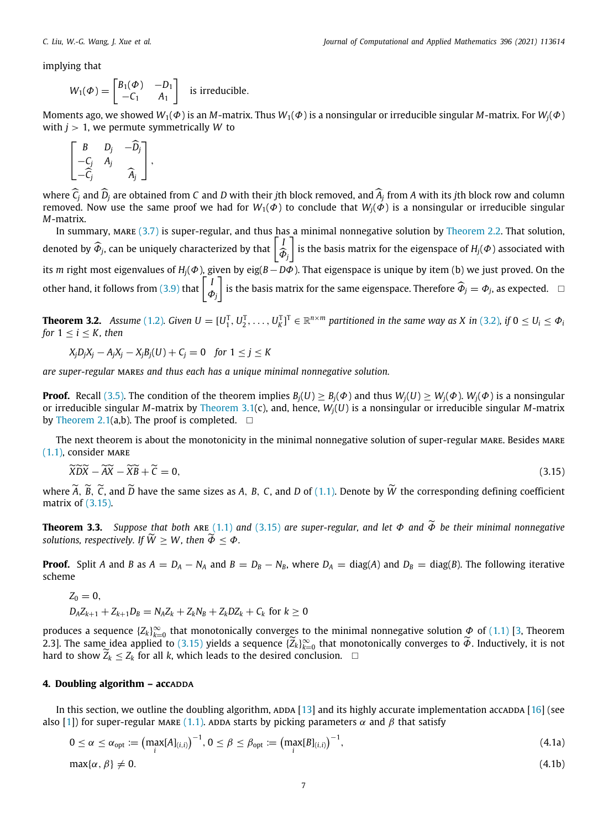implying that

$$
W_1(\Phi) = \begin{bmatrix} B_1(\Phi) & -D_1 \\ -C_1 & A_1 \end{bmatrix}
$$
 is irreducible.

Moments ago, we showed *W*1(Φ) is an *M*-matrix. Thus *W*1(Φ) is a nonsingular or irreducible singular *M*-matrix. For *Wj*(Φ) with  $i > 1$ , we permute symmetrically W to

$$
\begin{bmatrix} B & D_j & -\widehat{D}_j \\ -C_j & A_j & \widehat{A}_j \end{bmatrix},
$$

where *C<sub>j</sub>* and *D<sub>j</sub>* are obtained from *C* and *D* with their *j*th block removed, and *A<sub>j</sub>* from *A* with its *j*th block row and column  $\sum_{i}$  are also an and column  $\sum_{i}$  and  $\sum_{i}$  and  $\sum_{i}$  and  $\sum_{i}$  and removed. Now use the same proof we had for  $W_1(\Phi)$  to conclude that  $W_j(\Phi)$  is a nonsingular or irreducible singular *M*-matrix.

In summary, MARE  $(3.7)$  $(3.7)$  is super-regular, and thus has a minimal nonnegative solution by [Theorem](#page-3-4) [2.2](#page-3-4). That solution, denoted by  $\widehat{\Phi}_{j}$ , can be uniquely characterized by that  $\left\lceil \frac{j}{4}\right\rceil$  $\varPhi_j$  $\left]$  is the basis matrix for the eigenspace of  $H_j(\Phi)$  associated with its *m* right most eigenvalues of *Hj*(Φ), given by eig(*B*−*D*Φ). That eigenspace is unique by item (b) we just proved. On the other hand, it follows from [\(3.9\)](#page-5-0) that  $\begin{bmatrix} 1 \\ 1 \end{bmatrix}$ Φ*j*  $\bar{\phi}_j$  is the basis matrix for the same eigenspace. Therefore  $\widehat{\Phi}_j = \Phi_j$ , as expected.  $\Box$ 

**Theorem 3.2.** Assume ([1.2](#page-1-1)). Given  $U = [U_1^T, U_2^T, \dots, U_K^T]^T \in \mathbb{R}^{n \times m}$  partitioned in the same way as X in [\(3.2\)](#page-4-1), if  $0 \leq U_i \leq \Phi_i$ *for*  $1 \le i \le K$ *, then* 

$$
X_j D_j X_j - A_j X_j - X_j B_j(U) + C_j = 0 \quad \text{for } 1 \le j \le K
$$

*are super-regular* mare*s and thus each has a unique minimal nonnegative solution.*

**Proof.** Recall [\(3.5\)](#page-4-5). The condition of the theorem implies  $B_i(U) > B_i(\Phi)$  and thus  $W_i(U) > W_i(\Phi)$ .  $W_i(\Phi)$  is a nonsingular or irreducible singular *M*-matrix by [Theorem](#page-4-2) [3.1](#page-4-2)(c), and, hence, *Wj*(*U*) is a nonsingular or irreducible singular *M*-matrix by [Theorem](#page-2-1) [2.1\(](#page-2-1)a,b). The proof is completed.  $\square$ 

The next theorem is about the monotonicity in the minimal nonnegative solution of super-regular MARE. Besides MARE  $(1.1)$ , consider MARE

<span id="page-6-0"></span>
$$
\widetilde{X}\widetilde{D}\widetilde{X} - \widetilde{X}\widetilde{B} + \widetilde{C} = 0,\tag{3.15}
$$

where  $\widetilde{A}$ ,  $\widetilde{B}$ ,  $\widetilde{C}$ , and  $\widetilde{D}$  have the same sizes as A, B, C, and D of [\(1.1\)](#page-0-8). Denote by  $\widetilde{W}$  the corresponding defining coefficient matrix of ([3.15](#page-6-0)).

<span id="page-6-2"></span>**Theorem 3.3.** *Suppose that both* ARE ([1.1](#page-0-8)) and ([3.15](#page-6-0)) are super-regular, and let  $\Phi$  and  $\widetilde{\Phi}$  be their minimal nonnegative *solutions, respectively. If*  $\widetilde{W} > W$ *, then*  $\widetilde{\Phi} < \Phi$ *.* 

**Proof.** Split A and B as  $A = D_A - N_A$  and  $B = D_B - N_B$ , where  $D_A = \text{diag}(A)$  and  $D_B = \text{diag}(B)$ . The following iterative scheme

$$
Z_0 = 0,
$$
  

$$
D_A Z_{k+1} + Z_{k+1} D_B = N_A Z_k + Z_k N_B + Z_k D Z_k + C_k \text{ for } k \ge 0
$$

produces a sequence  $\{Z_k\}_{k=0}^\infty$  that monotonically converges to the minimal nonnegative solution  $\phi$  of [\(1.1\)](#page-0-8) [[3,](#page-15-2) Theorem 2.3]. The same idea applied to [\(3.15\)](#page-6-0) yields a sequence  $\{Z_k\}_{k=0}^{\infty}$  that monotonically converges to  $\widetilde{\Phi}$ . Inductively, it is not hard to show  $\widetilde{Z}_k \leq Z_k$  for all *k*, which leads to the desired conclusion.  $\Box$ 

# **4. Doubling algorithm - accappa**

<span id="page-6-3"></span>In this section, we outline the doubling algorithm,  $ADDA$  [[13](#page-15-9)] and its highly accurate implementation accadda [\[16](#page-15-13)] (see also [\[1](#page-15-0)]) for super-regular MARE ([1.1](#page-0-8)). ADDA starts by picking parameters  $\alpha$  and  $\beta$  that satisfy

<span id="page-6-1"></span>
$$
0 \leq \alpha \leq \alpha_{\rm opt} := \left( \max_{i} [A]_{(i,i)} \right)^{-1}, 0 \leq \beta \leq \beta_{\rm opt} := \left( \max_{i} [B]_{(i,i)} \right)^{-1}, \tag{4.1a}
$$

$$
\max\{\alpha,\,\beta\}\neq 0.\tag{4.1b}
$$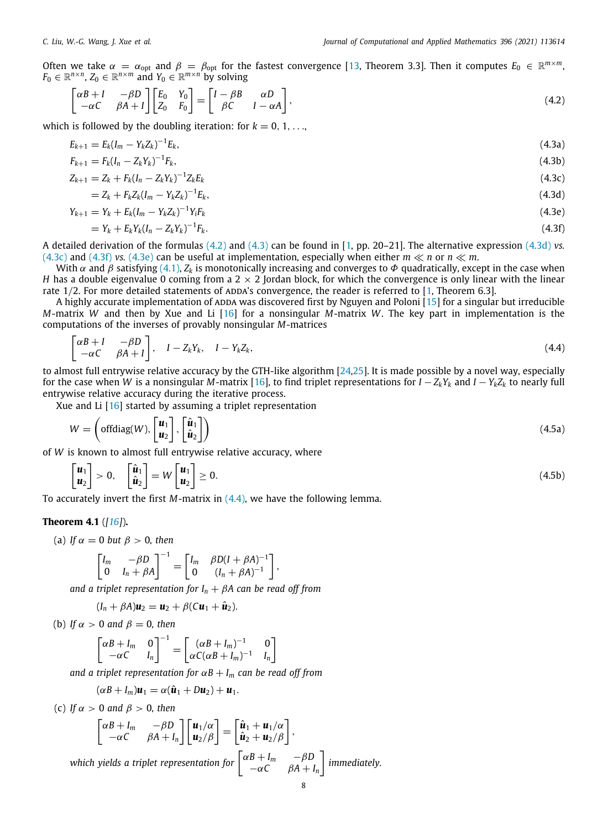Often we take  $\alpha = \alpha_{opt}$  and  $\beta = \beta_{opt}$  for the fastest convergence [\[13,](#page-15-9) Theorem 3.3]. Then it computes  $E_0 \in \mathbb{R}^{m \times m}$  $F_0 \in \mathbb{R}^{n \times n}$ ,  $Z_0 \in \mathbb{R}^{n \times m}$  and  $Y_0 \in \mathbb{R}^{m \times n}$  by solving

<span id="page-7-1"></span><span id="page-7-0"></span>
$$
\begin{bmatrix} \alpha B + I & -\beta D \\ -\alpha C & \beta A + I \end{bmatrix} \begin{bmatrix} E_0 & Y_0 \\ Z_0 & F_0 \end{bmatrix} = \begin{bmatrix} I - \beta B & \alpha D \\ \beta C & I - \alpha A \end{bmatrix},
$$
\n(4.2)

which is followed by the doubling iteration: for  $k = 0, 1, \ldots$ 

$$
E_{k+1} = E_k (I_m - Y_k Z_k)^{-1} E_k, \tag{4.3a}
$$

$$
F_{k+1} = F_k (I_n - Z_k Y_k)^{-1} F_k, \tag{4.3b}
$$

$$
Z_{k+1} = Z_k + F_k (I_n - Z_k Y_k)^{-1} Z_k E_k
$$
\n(4.3c)

$$
=Z_k+F_kZ_k(I_m-Y_kZ_k)^{-1}E_k,
$$
\t(4.3d)

$$
Y_{k+1} = Y_k + E_k (I_m - Y_k Z_k)^{-1} Y_i F_k
$$
\n(4.3e)

<span id="page-7-5"></span><span id="page-7-4"></span><span id="page-7-3"></span><span id="page-7-2"></span>
$$
= Y_k + E_k Y_k (I_n - Z_k Y_k)^{-1} F_k.
$$
\n(4.3f)

A detailed derivation of the formulas [\(4.2\)](#page-7-0) and ([4.3](#page-7-1)) can be found in [[1,](#page-15-0) pp. 20–21]. The alternative expression ([4.3d](#page-7-2)) *vs.* [\(4.3c\)](#page-7-3) and ([4.3f](#page-7-4)) *vs.* [\(4.3e](#page-7-5)) can be useful at implementation, especially when either  $m \ll n$  or  $n \ll m$ .

With  $\alpha$  and  $\beta$  satisfying [\(4.1\)](#page-6-1),  $Z_k$  is monotonically increasing and converges to  $\Phi$  quadratically, except in the case when *H* has a double eigenvalue 0 coming from a  $2 \times 2$  Jordan block, for which the convergence is only linear with the linear rate  $1/2$ . For more detailed statements of ADDA's convergence, the reader is referred to  $[1,$  $[1,$  Theorem 6.3].

A highly accurate implementation of ADDA was discovered first by Nguyen and Poloni  $[15]$  $[15]$  $[15]$  for a singular but irreducible *M*-matrix *W* and then by Xue and Li [[16\]](#page-15-13) for a nonsingular *M*-matrix *W*. The key part in implementation is the computations of the inverses of provably nonsingular *M*-matrices

<span id="page-7-6"></span>
$$
\begin{bmatrix} \alpha B + I & -\beta D \\ -\alpha C & \beta A + I \end{bmatrix}, \quad I - Z_k Y_k, \quad I - Y_k Z_k,
$$
\n
$$
(4.4)
$$

to almost full entrywise relative accuracy by the GTH-like algorithm [[24](#page-15-21)[,25\]](#page-15-22). It is made possible by a novel way, especially for the case when *W* is a nonsingular *M*-matrix [[16](#page-15-13)], to find triplet representations for  $I - Z_k Y_k$  and  $I - Y_k Z_k$  to nearly full entrywise relative accuracy during the iterative process.

Xue and Li [\[16\]](#page-15-13) started by assuming a triplet representation

<span id="page-7-10"></span>
$$
W = \left(\text{offdiag}(W), \begin{bmatrix} \mathbf{u}_1 \\ \mathbf{u}_2 \end{bmatrix}, \begin{bmatrix} \hat{\mathbf{u}}_1 \\ \hat{\mathbf{u}}_2 \end{bmatrix}\right) \tag{4.5a}
$$

of *W* is known to almost full entrywise relative accuracy, where

$$
\begin{bmatrix} \mathbf{u}_1 \\ \mathbf{u}_2 \end{bmatrix} > 0, \quad \begin{bmatrix} \hat{\mathbf{u}}_1 \\ \hat{\mathbf{u}}_2 \end{bmatrix} = W \begin{bmatrix} \mathbf{u}_1 \\ \mathbf{u}_2 \end{bmatrix} \ge 0.
$$
\n(4.5b)

<span id="page-7-8"></span>To accurately invert the first *M*-matrix in ([4.4](#page-7-6)), we have the following lemma.

## **Theorem 4.1** (*[[16\]](#page-15-13)*)**.**

(a) If 
$$
\alpha = 0
$$
 but  $\beta > 0$ , then

<span id="page-7-9"></span><span id="page-7-7"></span>
$$
\begin{bmatrix} I_m & -\beta D \\ 0 & I_n + \beta A \end{bmatrix}^{-1} = \begin{bmatrix} I_m & \beta D(I + \beta A)^{-1} \\ 0 & (I_n + \beta A)^{-1} \end{bmatrix},
$$

*and a triplet representation for I<sup>n</sup>* + β*A can be read off from*

$$
(I_n + \beta A)\mathbf{u}_2 = \mathbf{u}_2 + \beta (C\mathbf{u}_1 + \hat{\mathbf{u}}_2).
$$

(b) *If*  $\alpha > 0$  *and*  $\beta = 0$ *, then* 

$$
\begin{bmatrix} \alpha B + I_m & 0 \\ -\alpha C & I_n \end{bmatrix}^{-1} = \begin{bmatrix} (\alpha B + I_m)^{-1} & 0 \\ \alpha C(\alpha B + I_m)^{-1} & I_n \end{bmatrix}
$$

*and a triplet representation for*  $\alpha B + I_m$  *can be read off from* 

$$
(\alpha B + I_m)\mathbf{u}_1 = \alpha(\hat{\mathbf{u}}_1 + D\mathbf{u}_2) + \mathbf{u}_1.
$$

(c) *If*  $\alpha > 0$  *and*  $\beta > 0$ *, then* 

$$
\begin{bmatrix} \alpha B + I_m & -\beta D \\ -\alpha C & \beta A + I_n \end{bmatrix} \begin{bmatrix} \mathbf{u}_1/\alpha \\ \mathbf{u}_2/\beta \end{bmatrix} = \begin{bmatrix} \hat{\mathbf{u}}_1 + \mathbf{u}_1/\alpha \\ \hat{\mathbf{u}}_2 + \mathbf{u}_2/\beta \end{bmatrix},
$$
  
which yields a triplet representation for 
$$
\begin{bmatrix} \alpha B + I_m & -\beta D \\ -\alpha C & \beta A + I_n \end{bmatrix}
$$
 immediately.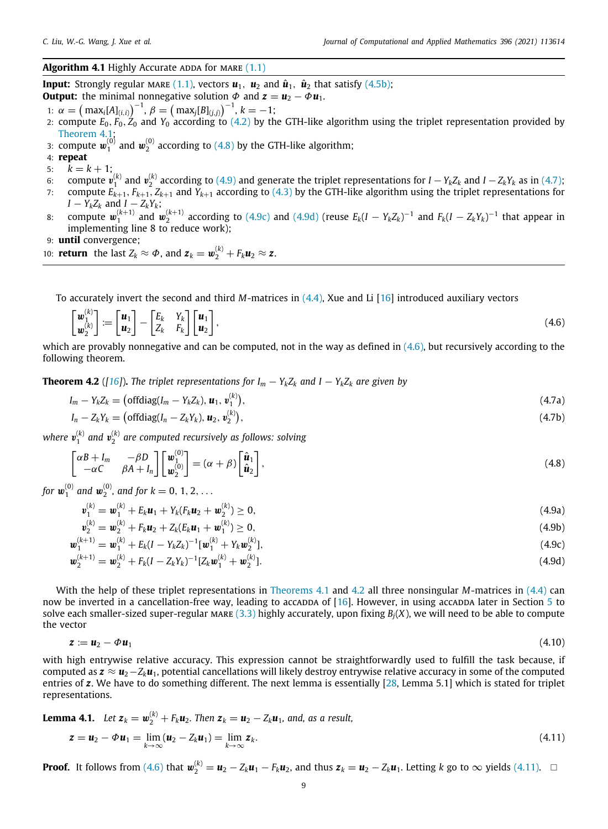# <span id="page-8-8"></span>**Algorithm 4.1** Highly Accurate ADDA for MARE [\(1.1\)](#page-0-9)

**Input:** Strongly regular MARE [\(1.1\)](#page-0-9), vectors  $\boldsymbol{u}_1$ ,  $\boldsymbol{u}_2$  and  $\hat{\boldsymbol{u}}_1$ ,  $\hat{\boldsymbol{u}}_2$  that satisfy [\(4.5b](#page-7-7)); **Output:** the minimal nonnegative solution  $\Phi$  and  $\mathbf{z} = \mathbf{u}_2 - \Phi \mathbf{u}_1$ .

<span id="page-8-5"></span><span id="page-8-2"></span><span id="page-8-0"></span> $\lambda$ 

- 1:  $\alpha = (\text{max}_i[A]_{(i,i)})^{-1}, \beta = (\text{max}_j[B]_{(j,j)})^{-1}, k = -1;$
- 2: compute *E*0, *F*0, *Z*<sup>0</sup> and *Y*<sup>0</sup> according to ([4.2](#page-7-0)) by the GTH-like algorithm using the triplet representation provided by [Theorem](#page-7-8) [4.1;](#page-7-8)
- 3: compute  $\pmb{w}_1^{(0)}$  and  $\pmb{w}_2^{(0)}$  according to [\(4.8\)](#page-8-0) by the GTH-like algorithm;
- 4: **repeat**
- 5:  $k = k + 1;$
- 6: compute  $v_1^{(k)}$  and  $v_2^{(k)}$  according to ([4.9](#page-8-1)) and generate the triplet representations for  $I Y_k Z_k$  and  $I Z_k Y_k$  as in [\(4.7\)](#page-8-2);
- 7: compute *Ek*+1, *Fk*+1, *Zk*+<sup>1</sup> and *Yk*+<sup>1</sup> according to [\(4.3\)](#page-7-1) by the GTH-like algorithm using the triplet representations for  $I - Y_k Z_k$  and  $I - Z_k Y_k$ ;
- 8: compute  $w_1^{(k+1)}$  and  $w_2^{(k+1)}$  according to [\(4.9c\)](#page-8-3) and ([4.9d](#page-8-4)) (reuse  $E_k(I-Y_kZ_k)^{-1}$  and  $F_k(I-Z_kY_k)^{-1}$  that appear in implementing line 8 to reduce work);
- 9: **until** convergence;

10: **return** the last 
$$
Z_k \approx \Phi
$$
, and  $\mathbf{z}_k = \mathbf{w}_2^{(k)} + F_k \mathbf{u}_2 \approx \mathbf{z}$ .

To accurately invert the second and third *M*-matrices in [\(4.4\)](#page-7-6), Xue and Li [\[16](#page-15-13)] introduced auxiliary vectors

$$
\begin{bmatrix} \boldsymbol{w}_1^{(k)} \\ \boldsymbol{w}_2^{(k)} \end{bmatrix} := \begin{bmatrix} \boldsymbol{u}_1 \\ \boldsymbol{u}_2 \end{bmatrix} - \begin{bmatrix} E_k & Y_k \\ Z_k & F_k \end{bmatrix} \begin{bmatrix} \boldsymbol{u}_1 \\ \boldsymbol{u}_2 \end{bmatrix},\tag{4.6}
$$

which are provably nonnegative and can be computed, not in the way as defined in  $(4.6)$  $(4.6)$  $(4.6)$ , but recursively according to the following theorem.

<span id="page-8-6"></span>**Theorem 4.2** ([[16\]](#page-15-13)). The triplet representations for  $I_m - Y_k Z_k$  and  $I - Y_k Z_k$  are given by

$$
I_m - Y_k Z_k = \left( \text{offdiag}(I_m - Y_k Z_k), \boldsymbol{u}_1, \boldsymbol{v}_1^{(k)} \right), \tag{4.7a}
$$

$$
I_n - Z_k Y_k = \left( \text{offdiag}(I_n - Z_k Y_k), \mathbf{u}_2, \mathbf{v}_2^{(k)} \right), \tag{4.7b}
$$

where  $\pmb{v}_1^{(k)}$  and  $\pmb{v}_2^{(k)}$  are computed recursively as follows: solving

<span id="page-8-7"></span><span id="page-8-4"></span><span id="page-8-3"></span> $(k)$   $\qquad$ 

$$
\begin{bmatrix} \alpha B + I_m & -\beta D \\ -\alpha C & \beta A + I_n \end{bmatrix} \begin{bmatrix} \boldsymbol{w}_1^{(0)} \\ \boldsymbol{w}_2^{(0)} \end{bmatrix} = (\alpha + \beta) \begin{bmatrix} \hat{\boldsymbol{u}}_1 \\ \hat{\boldsymbol{u}}_2 \end{bmatrix},
$$
\n(4.8)

*for*  $w_1^{(0)}$  and  $w_2^{(0)}$ , and for  $k = 0, 1, 2, ...$ 

<span id="page-8-1"></span>
$$
\mathbf{v}_1^{(k)} = \mathbf{w}_1^{(k)} + E_k \mathbf{u}_1 + Y_k (F_k \mathbf{u}_2 + \mathbf{w}_2^{(k)}) \ge 0,
$$
\n(4.9a)

$$
\mathbf{v}_{2}^{(k)} = \mathbf{w}_{2}^{(k)} + F_{k} \mathbf{u}_{2} + Z_{k}(E_{k} \mathbf{u}_{1} + \mathbf{w}_{1}^{(k)}) \geq 0, \tag{4.9b}
$$

$$
\boldsymbol{w}_1^{(k+1)} = \boldsymbol{w}_1^{(k)} + E_k (I - Y_k Z_k)^{-1} [\boldsymbol{w}_1^{(k)} + Y_k \boldsymbol{w}_2^{(k)}],
$$
\n(4.9c)

$$
\mathbf{w}_2^{(k+1)} = \mathbf{w}_2^{(k)} + F_k (I - Z_k Y_k)^{-1} [Z_k \mathbf{w}_1^{(k)} + \mathbf{w}_2^{(k)}].
$$
\n(4.9d)

With the help of these triplet representations in [Theorems](#page-7-8) [4.1](#page-7-8) and [4.2](#page-8-6) all three nonsingular *M*-matrices in ([4.4\)](#page-7-6) can now be inverted in a cancellation-free way, leading to accappa of  $[16]$  $[16]$ . However, in using accappa later in Section [5](#page-9-0) to solve each smaller-sized super-regular mare  $(3.3)$  highly accurately, upon fixing  $B_i(X)$ , we will need to be able to compute the vector

$$
z := u_2 - \phi u_1 \tag{4.10}
$$

with high entrywise relative accuracy. This expression cannot be straightforwardly used to fulfill the task because, if computed as *z* ≈ *u*2−*Zku*1, potential cancellations will likely destroy entrywise relative accuracy in some of the computed entries of *z*. We have to do something different. The next lemma is essentially [[28](#page-15-25), Lemma 5.1] which is stated for triplet representations.

<span id="page-8-9"></span>**Lemma 4.1.** Let 
$$
\mathbf{z}_k = \mathbf{w}_2^{(k)} + F_k \mathbf{u}_2
$$
. Then  $\mathbf{z}_k = \mathbf{u}_2 - Z_k \mathbf{u}_1$ , and, as a result,  
\n
$$
\mathbf{z} = \mathbf{u}_2 - \Phi \mathbf{u}_1 = \lim_{k \to \infty} (\mathbf{u}_2 - Z_k \mathbf{u}_1) = \lim_{k \to \infty} \mathbf{z}_k.
$$
\n(4.11)

**Proof.** It follows from ([4.6](#page-8-5)) that  $\mathbf{w}_2^{(k)} = \mathbf{u}_2 - Z_k \mathbf{u}_1 - F_k \mathbf{u}_2$ , and thus  $\mathbf{z}_k = \mathbf{u}_2 - Z_k \mathbf{u}_1$ . Letting k go to  $\infty$  yields [\(4.11\)](#page-8-7).  $\Box$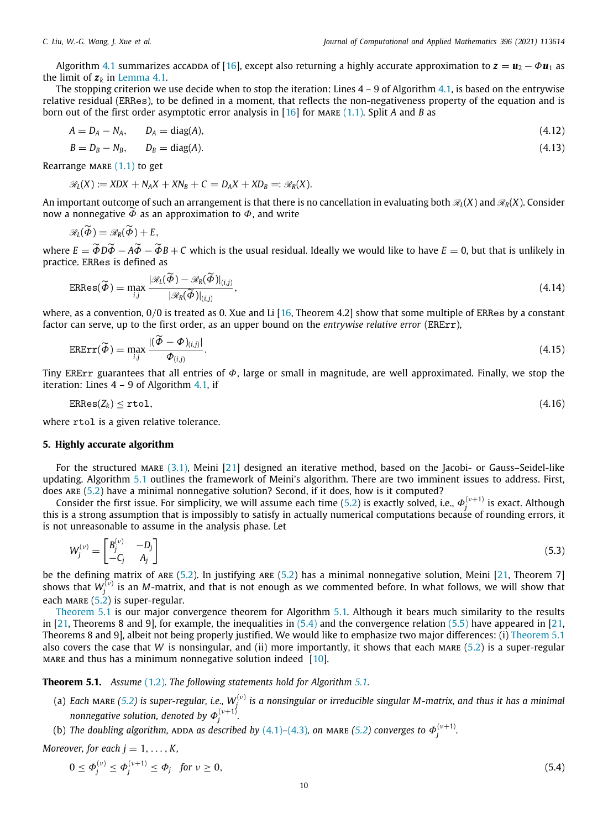Algorithm [4.1](#page-8-8) summarizes accadda of [\[16\]](#page-15-13), except also returning a highly accurate approximation to  $z = u_2 - \Phi u_1$  as the limit of  $z_k$  in [Lemma](#page-8-9) [4.1](#page-8-9).

The stopping criterion we use decide when to stop the iteration: Lines  $4 - 9$  of Algorithm [4.1](#page-8-8), is based on the entrywise relative residual (ERRes), to be defined in a moment, that reflects the non-negativeness property of the equation and is born out of the first order asymptotic error analysis in [[16](#page-15-13)] for MARE ([1.1](#page-0-8)). Split *A* and *B* as

$$
A = D_A - N_A, \qquad D_A = \text{diag}(A), \tag{4.12}
$$

$$
B = D_B - N_B, \qquad D_B = \text{diag}(A). \tag{4.13}
$$

Rearrange MARE  $(1.1)$  $(1.1)$  $(1.1)$  to get

$$
\mathscr{R}_L(X) := XDX + N_A X + XN_B + C = D_A X + XD_B =: \mathscr{R}_R(X).
$$

An important outcome of such an arrangement is that there is no cancellation in evaluating both  $\mathcal{R}_I(X)$  and  $\mathcal{R}_R(X)$ . Consider now a nonnegative  $\widetilde{\Phi}$  as an approximation to  $\Phi$ , and write

$$
\mathscr{R}_L(\tilde{\boldsymbol{\Phi}})=\mathscr{R}_R(\tilde{\boldsymbol{\Phi}})+E,
$$

where  $E = \widetilde{\Phi}D\widetilde{\Phi} - A\widetilde{\Phi} - \widetilde{\Phi}B + C$  which is the usual residual. Ideally we would like to have  $E = 0$ , but that is unlikely in practice. ERRes is defined as

<span id="page-9-4"></span>
$$
ERRes(\widetilde{\boldsymbol{\phi}}) = \max_{i,j} \frac{|\mathscr{R}_{L}(\widetilde{\boldsymbol{\phi}}) - \mathscr{R}_{R}(\widetilde{\boldsymbol{\phi}})|_{(i,j)}}{|\mathscr{R}_{R}(\widetilde{\boldsymbol{\phi}})|_{(i,j)}},
$$
\n(4.14)

where, as a convention, 0/0 is treated as 0. Xue and Li [\[16,](#page-15-13) Theorem 4.2] show that some multiple of ERRes by a constant factor can serve, up to the first order, as an upper bound on the *entrywise relative error* (ERErr),

<span id="page-9-5"></span>
$$
\text{ERErr}(\widetilde{\Phi}) = \max_{i,j} \frac{|(\widetilde{\Phi} - \Phi)_{(i,j)}|}{\Phi_{(i,j)}}.
$$
\n(4.15)

Tiny ERErr guarantees that all entries of  $\Phi$ , large or small in magnitude, are well approximated. Finally, we stop the iteration: Lines  $4 - 9$  of Algorithm  $4.1$ , if

$$
ERRes(Z_k) \leq \text{rtol},\tag{4.16}
$$

where rtol is a given relative tolerance.

## **5. Highly accurate algorithm**

<span id="page-9-0"></span>For the structured MARE [\(3.1\)](#page-3-3), Meini [\[21\]](#page-15-18) designed an iterative method, based on the Jacobi- or Gauss–Seidel-like updating. Algorithm [5.1](#page-10-0) outlines the framework of Meini's algorithm. There are two imminent issues to address. First, does are [\(5.2\)](#page-10-1) have a minimal nonnegative solution? Second, if it does, how is it computed?

Consider the first issue. For simplicity, we will assume each time [\(5.2\)](#page-10-1) is exactly solved, i.e.,  $\Phi_j^{(\nu+1)}$  is exact. Although this is a strong assumption that is impossibly to satisfy in actually numerical computations because of rounding errors, it is not unreasonable to assume in the analysis phase. Let

<span id="page-9-3"></span>
$$
W_j^{(v)} = \begin{bmatrix} B_j^{(v)} & -D_j \\ -C_j & A_j \end{bmatrix} \tag{5.3}
$$

be the defining matrix of ARE ([5.2](#page-10-1)). In justifying ARE [\(5.2\)](#page-10-1) has a minimal nonnegative solution, Meini [[21](#page-15-18), Theorem 7] shows that  $W_j^{(\nu)}$  is an *M*-matrix, and that is not enough as we commented before. In what follows, we will show that each MARE  $(5.2)$  $(5.2)$  $(5.2)$  is super-regular.

[Theorem](#page-9-1) [5.1](#page-9-1) is our major convergence theorem for Algorithm [5.1.](#page-10-0) Although it bears much similarity to the results in [[21](#page-15-18), Theorems 8 and 9], for example, the inequalities in  $(5.4)$  and the convergence relation  $(5.5)$  $(5.5)$  $(5.5)$  have appeared in [\[21,](#page-15-18) Theorems 8 and 9], albeit not being properly justified. We would like to emphasize two major differences: (i) [Theorem](#page-9-1) [5.1](#page-9-1) also covers the case that *W* is nonsingular, and (ii) more importantly, it shows that each mare [\(5.2\)](#page-10-1) is a super-regular mare and thus has a minimum nonnegative solution indeed [\[10\]](#page-15-5).

<span id="page-9-1"></span>**Theorem 5.1.** *Assume* ([1.2](#page-1-1))*. The following statements hold for Algorithm [5.1](#page-10-0).*

- (a) Each MARE ([5.2\)](#page-10-1) is super-regular, i.e.,  $W_j^{(\nu)}$  is a nonsingular or irreducible singular M-matrix, and thus it has a minimal *nonnegative solution, denoted by*  $\varPhi_{j}^{(\nu+1)}.$
- (b) The doubling algorithm, ADDA as described by  $(4.1)$ – $(4.3)$  $(4.3)$  $(4.3)$ , on MARE [\(5.2](#page-10-1)) converges to  $\varPhi_{j}^{(\nu+1)}$ .

*Moreover, for each*  $j = 1, \ldots, K$ *,* 

<span id="page-9-2"></span>
$$
0 \le \Phi_j^{(\nu)} \le \Phi_j^{(\nu+1)} \le \Phi_j \quad \text{for } \nu \ge 0,
$$
\n
$$
(5.4)
$$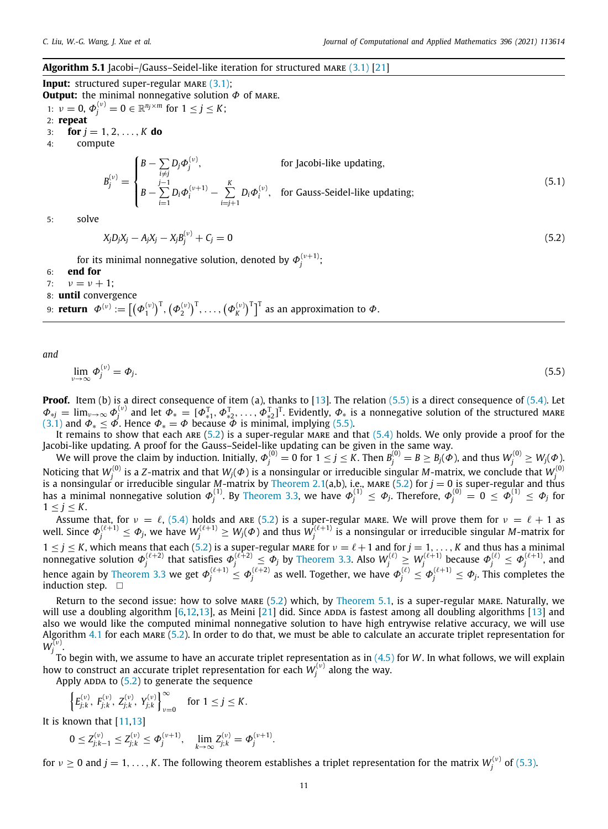## <span id="page-10-0"></span>**Algorithm 5.1** Jacobi–/Gauss–Seidel-like iteration for structured MARE ([3.1](#page-3-6)) [\[21\]](#page-15-18)

**Input:** structured super-regular MARE ([3.1](#page-3-6)); **Output:** the minimal nonnegative solution  $\Phi$  of MARE.

- 1:  $v = 0$ ,  $\Phi_j^{(v)} = 0 \in \mathbb{R}^{n_j \times m}$  for  $1 \le j \le K$ ; 2: **repeat** 3: **for**  $j = 1, 2, ..., K$  **do**
- 4: compute

<span id="page-10-3"></span>
$$
B_j^{(v)} = \begin{cases} B - \sum_{i \neq j} D_j \Phi_j^{(v)}, & \text{for Jacobi-like updating,} \\ B - \sum_{i=1}^{j-1} D_i \Phi_i^{(v+1)} - \sum_{i=j+1}^{K} D_i \Phi_i^{(v)}, & \text{for Gauss-Seidel-like updating;} \end{cases}
$$
(5.1)

5: solve

<span id="page-10-2"></span><span id="page-10-1"></span>
$$
X_j D_j X_j - A_j X_j - X_j B_j^{(\nu)} + C_j = 0
$$
\n(5.2)

for its minimal nonnegative solution, denoted by  $\boldsymbol{\varPhi}_{j}^{(\nu+1)};$ 

- 6: **end for**
- 7:  $v = v + 1$ ;
- 8: **until** convergence

9:  ${\sf return}\;\; \boldsymbol{\varPhi}^{(\nu)}:=\left[\left(\boldsymbol{\varPhi}_{1}^{(\nu)}\right)^{\sf T},\left(\boldsymbol{\varPhi}_{2}^{(\nu)}\right)^{\sf T},\ldots,\left(\boldsymbol{\varPhi}_{K}^{(\nu)}\right)^{\sf T}\right]^{\sf T}$  as an approximation to  $\boldsymbol{\varPhi}.$ 

*and*

$$
\lim_{\nu \to \infty} \Phi_j^{(\nu)} = \Phi_j. \tag{5.5}
$$

**Proof.** Item (b) is a direct consequence of item (a), thanks to [\[13\]](#page-15-9). The relation ([5.5](#page-10-2)) is a direct consequence of [\(5.4\)](#page-9-2). Let  $\Phi_{*j}=\lim_{\nu\to\infty}\Phi_j^{(\nu)}$  and let  $\Phi_{*}=[\Phi_{*1}^{\rm T},\Phi_{*2}^{\rm T},\ldots,\Phi_{*2}^{\rm T}]^{\rm T}$ . Evidently,  $\Phi_{*}$  is a nonnegative solution of the structured mare [\(3.1\)](#page-3-3) and  $\Phi_* \leq \vec{\Phi}$ . Hence  $\Phi_* = \Phi$  because  $\vec{\Phi}$  is minimal, implying [\(5.5\)](#page-10-2).

It remains to show that each ARE  $(5.2)$  $(5.2)$  $(5.2)$  is a super-regular MARE and that  $(5.4)$  holds. We only provide a proof for the Jacobi-like updating. A proof for the Gauss–Seidel-like updating can be given in the same way.

We will prove the claim by induction. Initially,  $\Phi_j^{(0)}=0$  for  $1\leq j\leq K.$  Then  $B_j^{(0)}=B\geq B_j(\varPhi)$ , and thus  $W_j^{(0)}\geq W_j(\varPhi)$ . Noticing that  $W_j^{(0)}$  is a Z-matrix and that  $W_j(\varPhi)$  is a nonsingular or irreducible singular M-matrix, we conclude that  $W_j^{(0)}$ <br>is a nonsingular or irreducible singular M-matrix by [Theorem](#page-2-1) [2.1\(](#page-2-1)a,b), i.e., MARE ([5.2](#page-10-1)) f has a minimal nonnegative solution  $\varPhi^{(1)}_j$ . By [Theorem](#page-6-2) [3.3](#page-6-2), we have  $\varPhi^{(1)}_j\leq \varPhi_j$ . Therefore,  $\varPhi^{(0)}_j=0\leq \varPhi^{(1)}_j\leq \varPhi_j$  for  $1 \leq j \leq K$ .

Assume that, for  $v = \ell$ , ([5.4](#page-9-2)) holds and ARE [\(5.2](#page-10-1)) is a super-regular MARE. We will prove them for  $v = \ell + 1$  as well. Since  $\Phi_j^{(\ell+1)}\leq \Phi_j$ , we have  $W_j^{(\ell+1)}\geq W_j(\Phi)$  and thus  $W_j^{(\ell+1)}$  is a nonsingular or irreducible singular M-matrix for  $1 \le j \le K$ , which means that each ([5.2](#page-10-1)) is a super-regular make for  $\nu = \ell + 1$  and for  $j = 1, \ldots, K$  and thus has a minimal  $\frac{d}{dt}$  oninegative solution  $\Phi_j^{(\ell+2)}$  that satisfies  $\Phi_j^{(\ell+2)} \leq \Phi_j$  by [Theorem](#page-6-2) [3.3.](#page-6-2) Also  $W_j^{(\ell)} \geq W_j^{(\ell+1)}$  because  $\Phi_j^{(\ell)} \leq \Phi_j^{(\ell+1)}$ , and hence again by [Theorem](#page-6-2) [3.3](#page-6-2) we get  $\phi_j^{(\ell+1)}\leq\phi_j^{(\ell+2)}$  as well. Together, we have  $\phi_j^{(\ell)}\leq\phi_j^{(\ell+1)}\leq\phi_j$ . This completes the induction step.  $\square$ 

Return to the second issue: how to solve MARE [\(5.2\)](#page-10-1) which, by [Theorem](#page-9-1) [5.1](#page-9-1), is a super-regular MARE. Naturally, we will use a doubling algorithm  $[6,12,13]$  $[6,12,13]$  $[6,12,13]$  $[6,12,13]$ , as Meini  $[21]$  $[21]$  $[21]$  did. Since ADDA is fastest among all doubling algorithms  $[13]$  and also we would like the computed minimal nonnegative solution to have high entrywise relative accuracy, we will use Algorithm  $4.1$  for each MARE  $(5.2)$  $(5.2)$  $(5.2)$ . In order to do that, we must be able to calculate an accurate triplet representation for  $W_j^{\vphantom{\big|}(\nu)}$ .

To begin with, we assume to have an accurate triplet representation as in ([4.5](#page-7-9)) for *W*. In what follows, we will explain how to construct an accurate triplet representation for each  $W_j^{(\nu)}$  along the way.

Apply ADDA to  $(5.2)$  to generate the sequence

$$
\left\{E_{j;k}^{(\nu)},\; F_{j;k}^{(\nu)},\; Z_{j;k}^{(\nu)},\; Y_{j;k}^{(\nu)}\right\}_{\nu=0}^{\infty} \quad \text{for}\; 1\leq j\leq K.
$$

It is known that [\[11,](#page-15-6)[13](#page-15-9)]

$$
0\leq Z_{j;k-1}^{(\nu)}\leq Z_{j;k}^{(\nu)}\leq \Phi_j^{(\nu+1)},\quad \lim_{k\to\infty}Z_{j;k}^{(\nu)}=\Phi_j^{(\nu+1)}.
$$

for  $v\geq 0$  and  $j=1,\ldots,K.$  The following theorem establishes a triplet representation for the matrix  $W_j^{(v)}$  of [\(5.3\)](#page-9-3).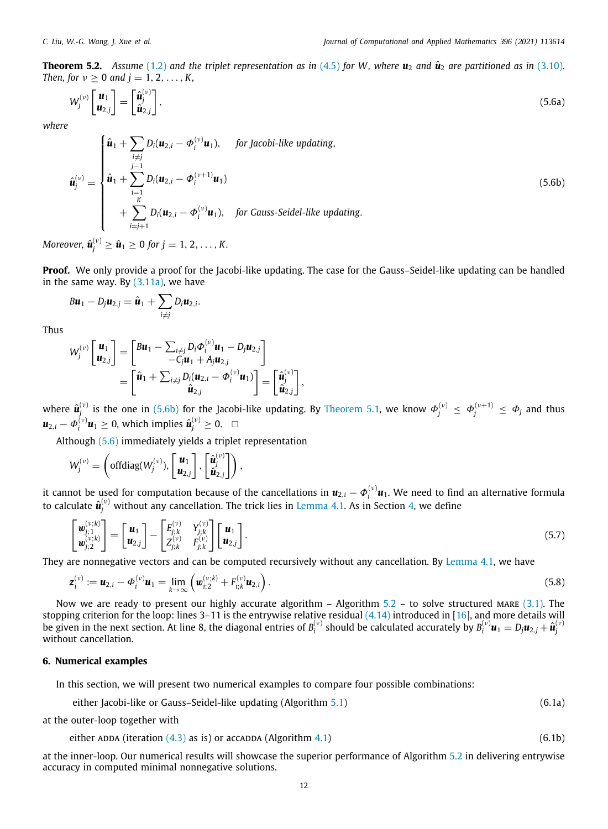**Theorem 5.2.** Assume [\(1.2](#page-1-1)) and the triplet representation as in ([4.5](#page-7-9)) for W, where  $u_2$  and  $\hat{u}_2$  are partitioned as in ([3.10\)](#page-5-5). *Then, for*  $\nu > 0$  *and*  $i = 1, 2, ..., K$ ,

<span id="page-11-3"></span>
$$
W_j^{(\nu)}\begin{bmatrix} \boldsymbol{u}_1 \\ \boldsymbol{u}_{2,j} \end{bmatrix} = \begin{bmatrix} \hat{\boldsymbol{u}}_j^{(\nu)} \\ \hat{\boldsymbol{u}}_{2,j} \end{bmatrix},\tag{5.6a}
$$

*where*

$$
\hat{\mathbf{u}}_{j}^{(\nu)} = \begin{cases}\n\hat{\mathbf{u}}_{1} + \sum_{\substack{i=j \ i \neq j}} D_{i}(\mathbf{u}_{2,i} - \Phi_{i}^{(\nu)} \mathbf{u}_{1}), & \text{for Jacobi-like updating,} \\
\hat{\mathbf{u}}_{1}^{(\nu)} = \begin{cases}\n\hat{\mathbf{u}}_{1} + \sum_{\substack{i=1 \ k \neq j}}^{j-1} D_{i}(\mathbf{u}_{2,i} - \Phi_{i}^{(\nu+1)} \mathbf{u}_{1}) \\
+ \sum_{\substack{i=j+1 \ k \neq j \neq j}}^{K} D_{i}(\mathbf{u}_{2,i} - \Phi_{i}^{(\nu)} \mathbf{u}_{1}), & \text{for Gauss-Seidel-like updating.} \n\end{cases}
$$
\n(5.6b)

 $M$ oreover,  $\hat{\bm{u}}_{j}^{(\nu)} \geq \hat{\bm{u}}_{1} \geq 0$  for  $j=1,2,\ldots,K.$ 

**Proof.** We only provide a proof for the Jacobi-like updating. The case for the Gauss–Seidel-like updating can be handled in the same way. By  $(3.11a)$  $(3.11a)$  $(3.11a)$ , we have

$$
B\mathbf{u}_1 - D_j \mathbf{u}_{2,j} = \hat{\mathbf{u}}_1 + \sum_{i \neq j} D_i \mathbf{u}_{2,i}.
$$

Thus

$$
W_j^{(\nu)}\begin{bmatrix} \mathbf{u}_1 \\ \mathbf{u}_{2,j} \end{bmatrix} = \begin{bmatrix} B\mathbf{u}_1 - \sum_{i \neq j} D_i \Phi_i^{(\nu)} \mathbf{u}_1 - D_j \mathbf{u}_{2,j} \\ -C_j \mathbf{u}_1 + A_j \mathbf{u}_{2,j} \end{bmatrix}
$$
  
= 
$$
\begin{bmatrix} \hat{\mathbf{u}}_1 + \sum_{i \neq j} D_i (\mathbf{u}_{2,i} - \Phi_i^{(\nu)} \mathbf{u}_1) \\ \hat{\mathbf{u}}_{2,j} \end{bmatrix} = \begin{bmatrix} \hat{\mathbf{u}}_j^{(\nu)} \\ \hat{\mathbf{u}}_{2,j} \end{bmatrix}
$$

where  $\hat{\bm{u}}_j^{(\nu)}$  is the one in ([5.6b](#page-11-1)) for the Jacobi-like updating. By [Theorem](#page-9-1) [5.1,](#page-9-1) we know  $\bm{\Phi}_j^{(\nu)}\leq \bm{\Phi}_j^{(\nu+1)}\leq \bm{\Phi}_j$  and thus  $u_{2,i} - \Phi_i^{(v)}u_1 ≥ 0$ , which implies  $\hat{u}_j^{(v)} ≥ 0$ . □

<span id="page-11-4"></span><span id="page-11-2"></span><span id="page-11-1"></span>,

Although [\(5.6\)](#page-11-2) immediately yields a triplet representation

$$
W_j^{(\nu)} = \left(\text{offdiag}(W_j^{(\nu)}), \begin{bmatrix} \mathbf{u}_1 \\ \mathbf{u}_{2,j} \end{bmatrix}, \begin{bmatrix} \hat{\mathbf{u}}_j^{(\nu)} \\ \hat{\mathbf{u}}_{2,j} \end{bmatrix}\right),
$$

it cannot be used for computation because of the cancellations in  $\bm u_{2,i}-\bm\phi_i^{(\nu)}\bm u_1.$  We need to find an alternative formula to calculate  $\hat{\pmb{u}}_j^{(\nu)}$  without any cancellation. The trick lies in [Lemma](#page-8-9) [4.1](#page-8-9). As in Section [4,](#page-6-3) we define

$$
\begin{bmatrix} \boldsymbol{w}_{j;1}^{(\nu;k)} \\ \boldsymbol{w}_{j;2}^{(\nu;k)} \end{bmatrix} = \begin{bmatrix} \boldsymbol{u}_1 \\ \boldsymbol{u}_{2,j} \end{bmatrix} - \begin{bmatrix} E_{j;k}^{(\nu)} & Y_{j;k}^{(\nu)} \\ Z_{j;k}^{(\nu)} & F_{j;k}^{(\nu)} \end{bmatrix} \begin{bmatrix} \boldsymbol{u}_1 \\ \boldsymbol{u}_{2,j} \end{bmatrix}.
$$
\n(5.7)

They are nonnegative vectors and can be computed recursively without any cancellation. By [Lemma](#page-8-9) [4.1,](#page-8-9) we have

$$
\mathbf{z}_{i}^{(v)} := \mathbf{u}_{2,i} - \Phi_{i}^{(v)} \mathbf{u}_{1} = \lim_{k \to \infty} \left( \mathbf{w}_{i;2}^{(v;k)} + F_{i;k}^{(v)} \mathbf{u}_{2,i} \right).
$$
\n(5.8)

Now we are ready to present our highly accurate algorithm  $-$  Algorithm [5.2](#page-12-0) – to solve structured MARE ([3.1](#page-3-3)). The stopping criterion for the loop: lines 3–11 is the entrywise relative residual [\(4.14\)](#page-9-4) introduced in [\[16](#page-15-13)], and more details will be given in the next section. At line 8, the diagonal entries of  $B_i^{(\nu)}$  should be calculated accurately by  $B_i^{(\nu)}$   $u_1=D_ju_{2,j}+\hat{u}_j^{(\nu)}$ without cancellation.

# **6. Numerical examples**

<span id="page-11-0"></span>In this section, we will present two numerical examples to compare four possible combinations:

either Jacobi-like or Gauss–Seidel-like updating (Algorithm [5.1\)](#page-10-0) (6.1a)

at the outer-loop together with

either ADDA (iteration 
$$
(4.3)
$$
 as is) or  $accADDA$  (Algorithm 4.1)  $(6.1b)$ 

at the inner-loop. Our numerical results will showcase the superior performance of Algorithm [5.2](#page-12-0) in delivering entrywise accuracy in computed minimal nonnegative solutions.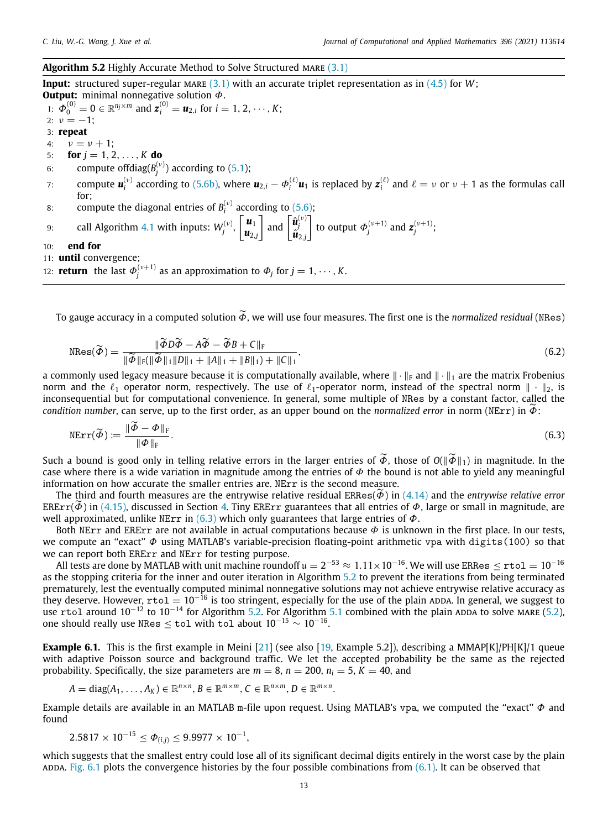# <span id="page-12-0"></span>Algorithm 5.2 Highly Accurate Method to Solve Structured MARE ([3.1](#page-3-6))

**Input:** structured super-regular MARE  $(3.1)$  $(3.1)$  $(3.1)$  with an accurate triplet representation as in  $(4.5)$  $(4.5)$  $(4.5)$  for *W*; **Output:** minimal nonnegative solution Φ.

1:  $\Phi_0^{(0)} = 0 \in \mathbb{R}^{n_j \times m}$  and  $\mathbf{z}_i^{(0)} = \mathbf{u}_{2,i}$  for  $i = 1, 2, \dots, K$ ; 2:  $v = -1$ ; 3: **repeat** 4:  $v = v + 1$ ; 5: **for**  $i = 1, 2, ..., K$  **do** 6: compute offdiag( $B_i^{(\nu)}$ ) according to ([5.1](#page-10-3)); *j* 7: compute  $\bm{u}_i^{(\nu)}$  according to ([5.6b](#page-11-1)), where  $\bm{u}_{2,i} - \bm{\phi}_i^{(\ell)} \bm{u}_1$  is replaced by  $\bm{z}_i^{(\ell)}$  and  $\ell = \nu$  or  $\nu + 1$  as the formulas call for; 8: compute the diagonal entries of  $B_i^{(\nu)}$  according to [\(5.6\)](#page-11-3); *i* 9: call Algorithm [4.1](#page-8-8) with inputs:  $W_j^{(v)}$ ,  $\begin{bmatrix} u_1 \\ u_2 \end{bmatrix}$  $u_{2,j}$  $\begin{bmatrix} \hat{\boldsymbol{u}}_j^{\left(\nu\right)} \ \hat{\boldsymbol{u}}_{2,j}^{\left(\nu\right)} \end{bmatrix}$ to output  $\Phi_j^{(\nu+1)}$  and  $\mathbf{z}_j^{(\nu+1)}$ ; 10: **end for** 11: **until** convergence;

12: **return** the last  $\Phi_j^{(\nu+1)}$  as an approximation to  $\Phi_j$  for  $j = 1, \dots, K$ .

To gauge accuracy in a computed solution  $\widetilde{\Phi}$ , we will use four measures. The first one is the *normalized residual* (NRes)

$$
\text{NRes}(\widetilde{\Phi}) = \frac{\|\widetilde{\Phi}\widetilde{D}\widetilde{\Phi} - A\widetilde{\Phi} - \widetilde{\Phi}B + C\|_{\text{F}}}{\|\widetilde{\Phi}\|_{\text{F}}(\|\widetilde{\Phi}\|_{1}\|D\|_{1} + \|A\|_{1} + \|B\|_{1}) + \|C\|_{1}},\tag{6.2}
$$

a commonly used legacy measure because it is computationally available, where  $\|\cdot\|_F$  and  $\|\cdot\|_1$  are the matrix Frobenius norm and the  $\ell_1$  operator norm, respectively. The use of  $\ell_1$ -operator norm, instead of the spectral norm  $\|\cdot\|_2$ , is inconsequential but for computational convenience. In general, some multiple of NRes by a constant factor, called the *condition number*, can serve, up to the first order, as an upper bound on the *normalized error* in norm (NErr) in  $\tilde{\phi}$ :

<span id="page-12-1"></span>
$$
NErr(\widetilde{\phi}) := \frac{\|\widetilde{\phi} - \phi\|_{\mathrm{F}}}{\|\phi\|_{\mathrm{F}}}.\tag{6.3}
$$

Such a bound is good only in telling relative errors in the larger entries of  $\widetilde{\Phi}$ , those of  $O(\|\widetilde{\Phi}\|_1)$  in magnitude. In the case where there is a wide variation in magnitude among the entries of  $\Phi$  the bound is not able to yield any meaningful information on how accurate the smaller entries are. NErr is the second measure.

The third and fourth measures are the entrywise relative residual ERRes(Φ˜) in ([4.14](#page-9-4)) and the *entrywise relative error*  $ERErr(\phi)$  in ([4.15\)](#page-9-5), discussed in Section [4.](#page-6-3) Tiny ERErr guarantees that all entries of  $\phi$ , large or small in magnitude, are well approximated, unlike NErr in [\(6.3\)](#page-12-1) which only guarantees that large entries of  $\Phi$ .

Both NErr and ERErr are not available in actual computations because  $\Phi$  is unknown in the first place. In our tests, we compute an "exact"  $\Phi$  using MATLAB's variable-precision floating-point arithmetic vpa with digits(100) so that we can report both ERErr and NErr for testing purpose.

All tests are done by MATLAB with unit machine roundoff  $\frak u=2^{-53}\approx1.11\times10^{-16}.$  We will use ERRes  $\leq$   $\mathtt{rtol}=10^{-16}$ as the stopping criteria for the inner and outer iteration in Algorithm [5.2](#page-12-0) to prevent the iterations from being terminated prematurely, lest the eventually computed minimal nonnegative solutions may not achieve entrywise relative accuracy as they deserve. However,  $r \text{tol} = 10^{-16}$  is too stringent, especially for the use of the plain ADDA. In general, we suggest to use rtol around  $10^{-12}$  to  $10^{-14}$  for Algorithm [5.2.](#page-12-0) For Algorithm [5.1](#page-10-0) combined with the plain ADDA to solve MARE [\(5.2\)](#page-10-1), one should really use NRes  $\leq$  tol with tol about  $10^{-15} \sim 10^{-16}$ .

<span id="page-12-2"></span>**Example 6.1.** This is the first example in Meini [[21](#page-15-18)] (see also [[19](#page-15-16), Example 5.2]), describing a MMAP[K]/PH[K]/1 queue with adaptive Poisson source and background traffic. We let the accepted probability be the same as the rejected probability. Specifically, the size parameters are  $m = 8$ ,  $n = 200$ ,  $n_i = 5$ ,  $K = 40$ , and

$$
A = \text{diag}(A_1, \ldots, A_K) \in \mathbb{R}^{n \times n}, B \in \mathbb{R}^{m \times m}, C \in \mathbb{R}^{n \times m}, D \in \mathbb{R}^{m \times n}.
$$

Example details are available in an MATLAB m-file upon request. Using MATLAB's vpa, we computed the "exact"  $\Phi$  and found

$$
2.5817\times 10^{-15} \leq \varPhi_{(i,j)} \leq 9.9977\times 10^{-1},
$$

which suggests that the smallest entry could lose all of its significant decimal digits entirely in the worst case by the plain ADDA. [Fig.](#page-13-0)  $6.1$  plots the convergence histories by the four possible combinations from  $(6.1)$ . It can be observed that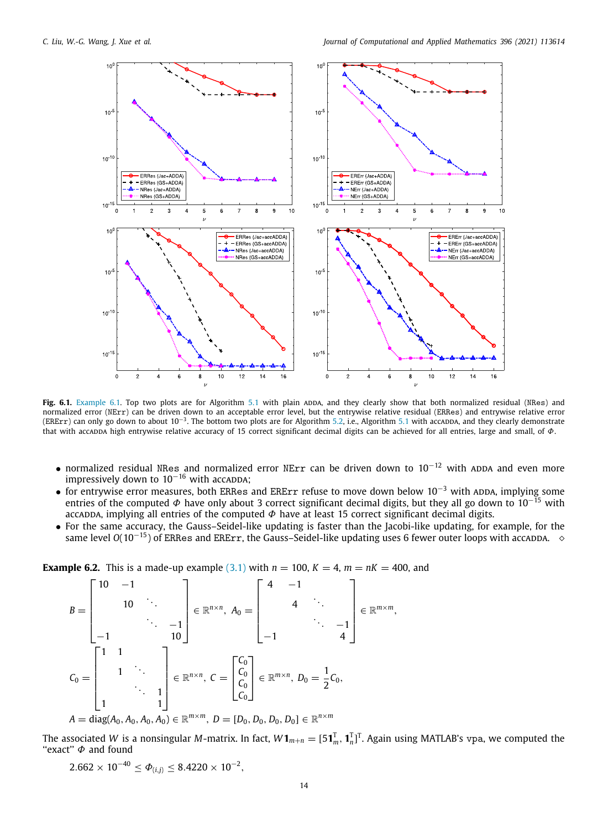

<span id="page-13-0"></span>Fig. 6.1. [Example](#page-12-2) [6.1.](#page-12-2) Top two plots are for Algorithm [5.1](#page-10-0) with plain ADDA, and they clearly show that both normalized residual (NRes) and normalized error (NErr) can be driven down to an acceptable error level, but the entrywise relative residual (ERRes) and entrywise relative error (ERErr) can only go down to about 10<sup>−3</sup>. The bottom two plots are for Algorithm [5.2](#page-12-0), i.e., Algorithm [5.1](#page-10-0) with accа<mark>ppA, and they clearly demonstrate</mark> that with accappa high entrywise relative accuracy of 15 correct significant decimal digits can be achieved for all entries, large and small, of  $\phi$ .

- normalized residual NRes and normalized error NErr can be driven down to  $10^{-12}$  with ADDA and even more impressively down to  $10^{-16}$  with accappa;
- for entrywise error measures, both ERRes and ERErr refuse to move down below  $10^{-3}$  with ADDA, implying some entries of the computed  $\Phi$  have only about 3 correct significant decimal digits, but they all go down to 10<sup>-15</sup> with accadda, implying all entries of the computed  $\Phi$  have at least 15 correct significant decimal digits.
- For the same accuracy, the Gauss–Seidel-like updating is faster than the Jacobi-like updating, for example, for the same level *O*(10<sup>-15</sup>) of ERRes and ERErr, the Gauss–Seidel-like updating uses 6 fewer outer loops with accappa. ◇

<span id="page-13-1"></span>**Example 6.2.** This is a made-up example ([3.1](#page-3-3)) with  $n = 100$ ,  $K = 4$ ,  $m = nK = 400$ , and

$$
B = \begin{bmatrix} 10 & -1 & & & \\ & 10 & \cdots & & \\ & & \ddots & & -1 \\ -1 & & & 10 \end{bmatrix} \in \mathbb{R}^{n \times n}, \ A_0 = \begin{bmatrix} 4 & -1 & & & \\ & 4 & \ddots & & \\ & & \ddots & & \\ & & & \ddots & -1 \\ -1 & & & 4 \end{bmatrix} \in \mathbb{R}^{m \times m},
$$
  
\n
$$
C_0 = \begin{bmatrix} 1 & 1 & & \\ & 1 & \ddots & \\ & & \ddots & 1 \\ 1 & & & 1 \end{bmatrix} \in \mathbb{R}^{n \times n}, \ C = \begin{bmatrix} C_0 \\ C_0 \\ C_0 \\ C_0 \end{bmatrix} \in \mathbb{R}^{m \times n}, \ D_0 = \frac{1}{2} C_0,
$$
  
\n
$$
A = \text{diag}(A_0, A_0, A_0, A_0) \in \mathbb{R}^{m \times m}, \ D = [D_0, D_0, D_0, D_0] \in \mathbb{R}^{n \times m}
$$

The associated W is a nonsingular M-matrix. In fact,  $W\bm{1}_{m+n}=[5\bm{1}_m^T,\bm{1}_n^T]^T$ . Again using MATLAB's vpa, we computed the "exact"  $\Phi$  and found

$$
2.662 \times 10^{-40} \le \Phi_{(i,j)} \le 8.4220 \times 10^{-2},
$$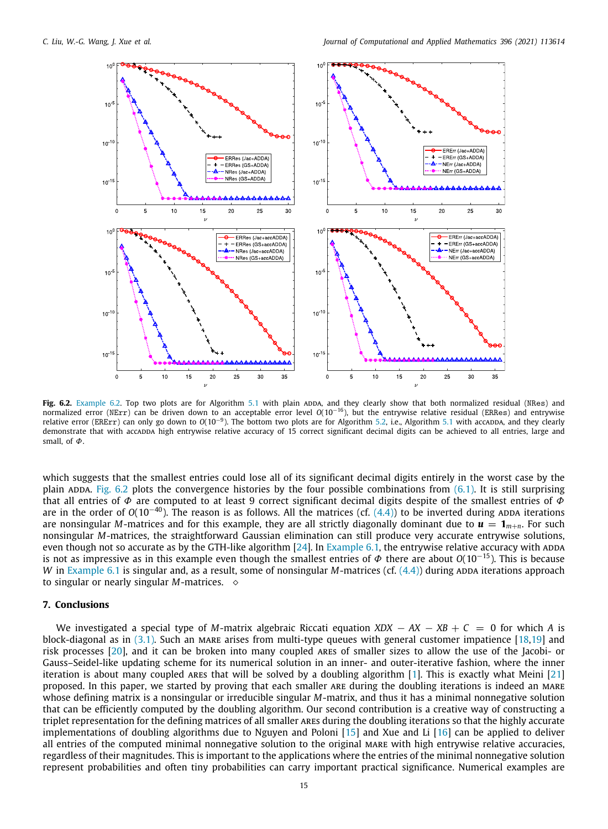

<span id="page-14-1"></span>Fig. 6.2. [Example](#page-13-1) [6.2.](#page-13-1) Top two plots are for Algorithm [5.1](#page-10-0) with plain ADDA, and they clearly show that both normalized residual (NRes) and normalized error (NErr) can be driven down to an acceptable error level *O*(10−<sup>16</sup>), but the entrywise relative residual (ERRes) and entrywise relative error (ERErr) can only go down to  $O(10^{-9})$ . The bottom two plots are for Algorithm [5.2,](#page-12-0) i.e., Algorithm [5.1](#page-10-0) with accappa, and they clearly demonstrate that with accappa high entrywise relative accuracy of 15 correct significant decimal digits can be achieved to all entries, large and small, of  $\Phi$ .

which suggests that the smallest entries could lose all of its significant decimal digits entirely in the worst case by the plain ADDA. [Fig.](#page-14-1) [6.2](#page-14-1) plots the convergence histories by the four possible combinations from  $(6.1)$  $(6.1)$ . It is still surprising that all entries of  $\Phi$  are computed to at least 9 correct significant decimal digits despite of the smallest entries of  $\Phi$ are in the order of  $O(10^{-40})$ . The reason is as follows. All the matrices (cf.  $(4.4)$  $(4.4)$  $(4.4)$ ) to be inverted during ADDA iterations are nonsingular *M*-matrices and for this example, they are all strictly diagonally dominant due to  $u = 1_{m+n}$ . For such nonsingular *M*-matrices, the straightforward Gaussian elimination can still produce very accurate entrywise solutions, even though not so accurate as by the GTH-like algorithm  $[24]$  $[24]$  $[24]$ . In [Example](#page-12-2) [6.1,](#page-12-2) the entrywise relative accuracy with ADDA is not as impressive as in this example even though the smallest entries of  $\Phi$  there are about  $O(10^{-15})$ . This is because *W* in [Example](#page-12-2) [6.1](#page-12-2) is singular and, as a result, some of nonsingular *M*-matrices (cf. ([4.4](#page-7-6))) during ADDA iterations approach to singular or nearly singular  $M$ -matrices.  $\diamond$ 

#### **7. Conclusions**

<span id="page-14-0"></span>We investigated a special type of *M*-matrix algebraic Riccati equation *XDX* − *AX* − *XB* + *C* = 0 for which *A* is block-diagonal as in  $(3.1)$  $(3.1)$  $(3.1)$ . Such an MARE arises from multi-type queues with general customer impatience  $[18,19]$  $[18,19]$  $[18,19]$  and risk processes [[20](#page-15-17)], and it can be broken into many coupled ares of smaller sizes to allow the use of the Jacobi- or Gauss–Seidel-like updating scheme for its numerical solution in an inner- and outer-iterative fashion, where the inner iteration is about many coupled ares that will be solved by a doubling algorithm [[1\]](#page-15-0). This is exactly what Meini [\[21\]](#page-15-18) proposed. In this paper, we started by proving that each smaller ARE during the doubling iterations is indeed an MARE whose defining matrix is a nonsingular or irreducible singular *M*-matrix, and thus it has a minimal nonnegative solution that can be efficiently computed by the doubling algorithm. Our second contribution is a creative way of constructing a triplet representation for the defining matrices of all smaller ares during the doubling iterations so that the highly accurate implementations of doubling algorithms due to Nguyen and Poloni [\[15\]](#page-15-12) and Xue and Li [\[16](#page-15-13)] can be applied to deliver all entries of the computed minimal nonnegative solution to the original MARE with high entrywise relative accuracies, regardless of their magnitudes. This is important to the applications where the entries of the minimal nonnegative solution represent probabilities and often tiny probabilities can carry important practical significance. Numerical examples are